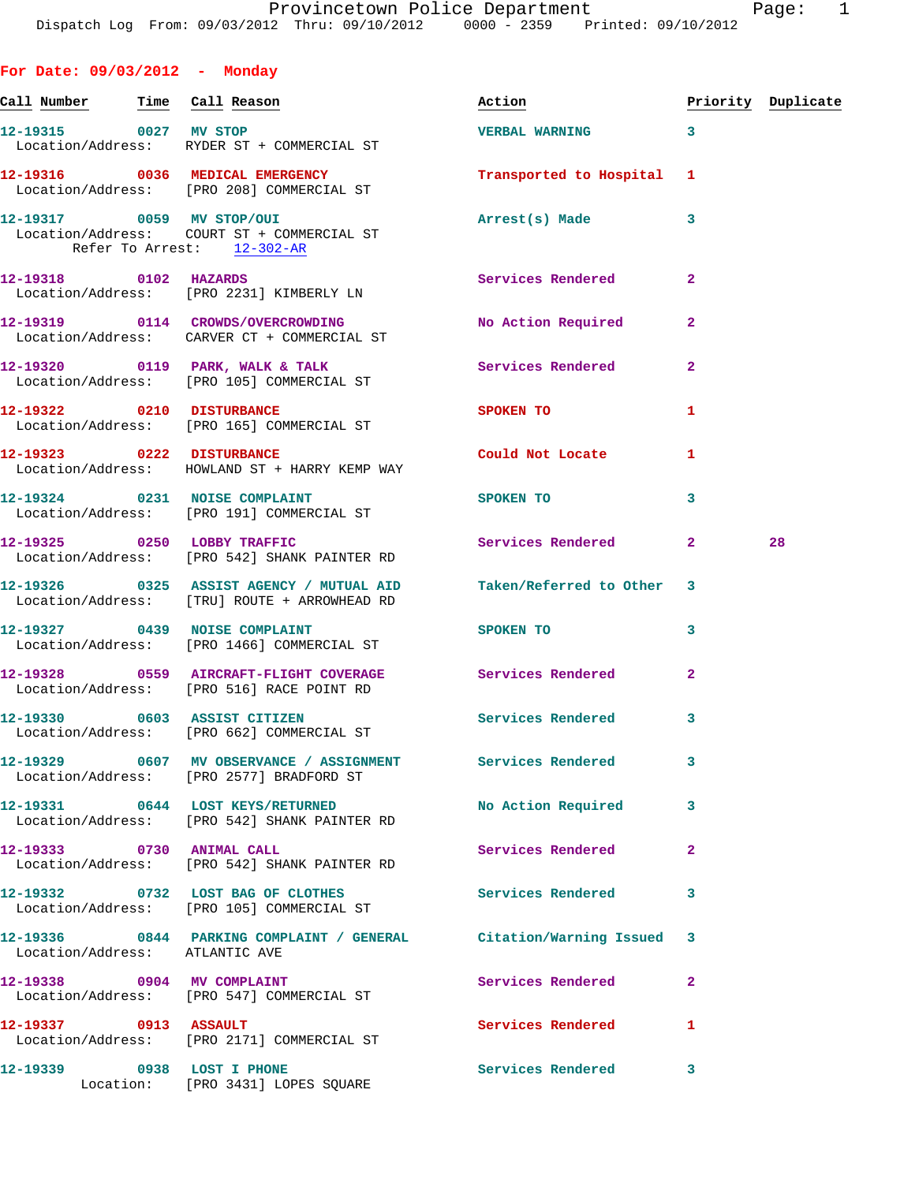**For Date: 09/03/2012 - Monday** Call Number Time Call Reason **Reason Action Action** Priority Duplicate **12-19315 0027 MV STOP VERBAL WARNING 3**  Location/Address: RYDER ST + COMMERCIAL ST **12-19316 0036 MEDICAL EMERGENCY Transported to Hospital 1**  Location/Address: [PRO 208] COMMERCIAL ST **12-19317 0059 MV STOP/OUI Arrest(s) Made 3**  Location/Address: COURT ST + COMMERCIAL ST Refer To Arrest: 12-302-AR **12-19318 0102 HAZARDS Services Rendered 2**  Location/Address: [PRO 2231] KIMBERLY LN **12-19319 0114 CROWDS/OVERCROWDING No Action Required 2**  Location/Address: CARVER CT + COMMERCIAL ST **12-19320 0119 PARK, WALK & TALK Services Rendered 2**  Location/Address: [PRO 105] COMMERCIAL ST **12-19322 0210 DISTURBANCE SPOKEN TO 1**  Location/Address: [PRO 165] COMMERCIAL ST **12-19323 0222 DISTURBANCE Could Not Locate 1**  Location/Address: HOWLAND ST + HARRY KEMP WAY 12-19324 0231 NOISE COMPLAINT SPOKEN TO 3 Location/Address: [PRO 191] COMMERCIAL ST 12-19325 0250 LOBBY TRAFFIC Services Rendered 2 28 Location/Address: [PRO 542] SHANK PAINTER RD **12-19326 0325 ASSIST AGENCY / MUTUAL AID Taken/Referred to Other 3**  Location/Address: [TRU] ROUTE + ARROWHEAD RD **12-19327 0439 NOISE COMPLAINT SPOKEN TO 3**  Location/Address: [PRO 1466] COMMERCIAL ST **12-19328 0559 AIRCRAFT-FLIGHT COVERAGE Services Rendered 2**  Location/Address: [PRO 516] RACE POINT RD **12-19330 0603 ASSIST CITIZEN Services Rendered 3**  Location/Address: [PRO 662] COMMERCIAL ST **12-19329 0607 MV OBSERVANCE / ASSIGNMENT Services Rendered 3**  Location/Address: [PRO 2577] BRADFORD ST **12-19331 0644 LOST KEYS/RETURNED No Action Required 3**  Location/Address: [PRO 542] SHANK PAINTER RD **12-19333 0730 ANIMAL CALL Services Rendered 2**  Location/Address: [PRO 542] SHANK PAINTER RD **12-19332 0732 LOST BAG OF CLOTHES Services Rendered 3**  Location/Address: [PRO 105] COMMERCIAL ST **12-19336 0844 PARKING COMPLAINT / GENERAL Citation/Warning Issued 3**  Location/Address: ATLANTIC AVE **12-19338 0904 MV COMPLAINT Services Rendered 2**  Location/Address: [PRO 547] COMMERCIAL ST 12-19337 0913 ASSAULT Services Rendered 1 Location/Address: [PRO 2171] COMMERCIAL ST

**12-19339 0938 LOST I PHONE Services Rendered 3**  Location: [PRO 3431] LOPES SQUARE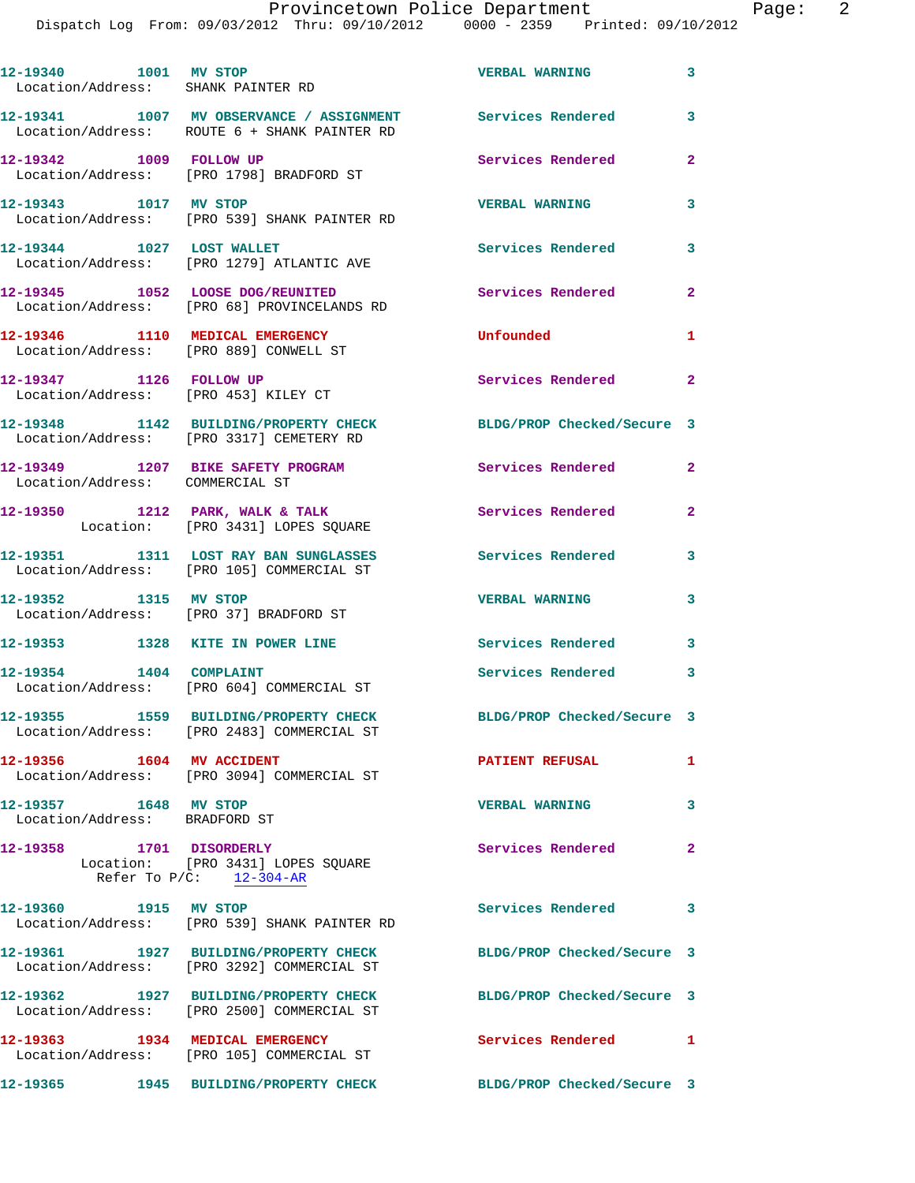| 12-19340 1001 MV STOP<br>Location/Address: SHANK PAINTER RD               |                                                                                                            | <b>VERBAL WARNING</b>      | 3              |
|---------------------------------------------------------------------------|------------------------------------------------------------------------------------------------------------|----------------------------|----------------|
|                                                                           | 12-19341 1007 MV OBSERVANCE / ASSIGNMENT Services Rendered<br>Location/Address: ROUTE 6 + SHANK PAINTER RD |                            | 3              |
| 12-19342 1009 FOLLOW UP                                                   | Location/Address: [PRO 1798] BRADFORD ST                                                                   | Services Rendered          | $\mathbf{2}$   |
| 12-19343 1017 MV STOP                                                     | Location/Address: [PRO 539] SHANK PAINTER RD                                                               | <b>VERBAL WARNING</b>      | 3              |
|                                                                           | 12-19344 1027 LOST WALLET<br>Location/Address: [PRO 1279] ATLANTIC AVE                                     | <b>Services Rendered</b>   | 3              |
|                                                                           | 12-19345 1052 LOOSE DOG/REUNITED<br>Location/Address: [PRO 68] PROVINCELANDS RD                            | Services Rendered          | $\overline{2}$ |
| 12-19346 1110 MEDICAL EMERGENCY<br>Location/Address: [PRO 889] CONWELL ST |                                                                                                            | Unfounded                  | 1              |
| 12-19347 1126 FOLLOW UP<br>Location/Address: [PRO 453] KILEY CT           |                                                                                                            | <b>Services Rendered</b>   | $\overline{2}$ |
|                                                                           | 12-19348 1142 BUILDING/PROPERTY CHECK<br>Location/Address: [PRO 3317] CEMETERY RD                          | BLDG/PROP Checked/Secure 3 |                |
| 12-19349 1207 BIKE SAFETY PROGRAM<br>Location/Address: COMMERCIAL ST      |                                                                                                            | Services Rendered          | $\overline{a}$ |
|                                                                           | 12-19350 1212 PARK, WALK & TALK<br>Location: [PRO 3431] LOPES SQUARE                                       | Services Rendered          | $\overline{2}$ |
|                                                                           | 12-19351 1311 LOST RAY BAN SUNGLASSES<br>Location/Address: [PRO 105] COMMERCIAL ST                         | <b>Services Rendered</b>   | 3              |
| 12-19352 1315 MV STOP<br>Location/Address: [PRO 37] BRADFORD ST           |                                                                                                            | <b>VERBAL WARNING</b>      | 3              |
| 12-19353 1328 KITE IN POWER LINE                                          |                                                                                                            | <b>Services Rendered</b>   | 3              |
| 12-19354 1404 COMPLAINT                                                   | Location/Address: [PRO 604] COMMERCIAL ST                                                                  | Services Rendered 3        |                |
|                                                                           | 12-19355 1559 BUILDING/PROPERTY CHECK<br>Location/Address: [PRO 2483] COMMERCIAL ST                        | BLDG/PROP Checked/Secure 3 |                |
| 12-19356 1604 MV ACCIDENT                                                 | Location/Address: [PRO 3094] COMMERCIAL ST                                                                 | <b>PATIENT REFUSAL</b>     | $\mathbf{1}$   |
| 12-19357 1648 MV STOP<br>Location/Address: BRADFORD ST                    |                                                                                                            | <b>VERBAL WARNING</b>      | $\mathbf{3}$   |
| 12-19358 1701 DISORDERLY                                                  | Location: [PRO 3431] LOPES SQUARE<br>Refer To $P/C:$ 12-304-AR                                             | Services Rendered          | $\mathbf{2}$   |
| 12-19360 1915 MV STOP                                                     | Location/Address: [PRO 539] SHANK PAINTER RD                                                               | Services Rendered          | 3              |
|                                                                           | 12-19361 1927 BUILDING/PROPERTY CHECK<br>Location/Address: [PRO 3292] COMMERCIAL ST                        | BLDG/PROP Checked/Secure 3 |                |
|                                                                           | 12-19362 1927 BUILDING/PROPERTY CHECK<br>Location/Address: [PRO 2500] COMMERCIAL ST                        | BLDG/PROP Checked/Secure 3 |                |
|                                                                           | 12-19363 1934 MEDICAL EMERGENCY<br>Location/Address: [PRO 105] COMMERCIAL ST                               | <b>Services Rendered</b> 1 |                |
|                                                                           | 12-19365 1945 BUILDING/PROPERTY CHECK BLDG/PROP Checked/Secure 3                                           |                            |                |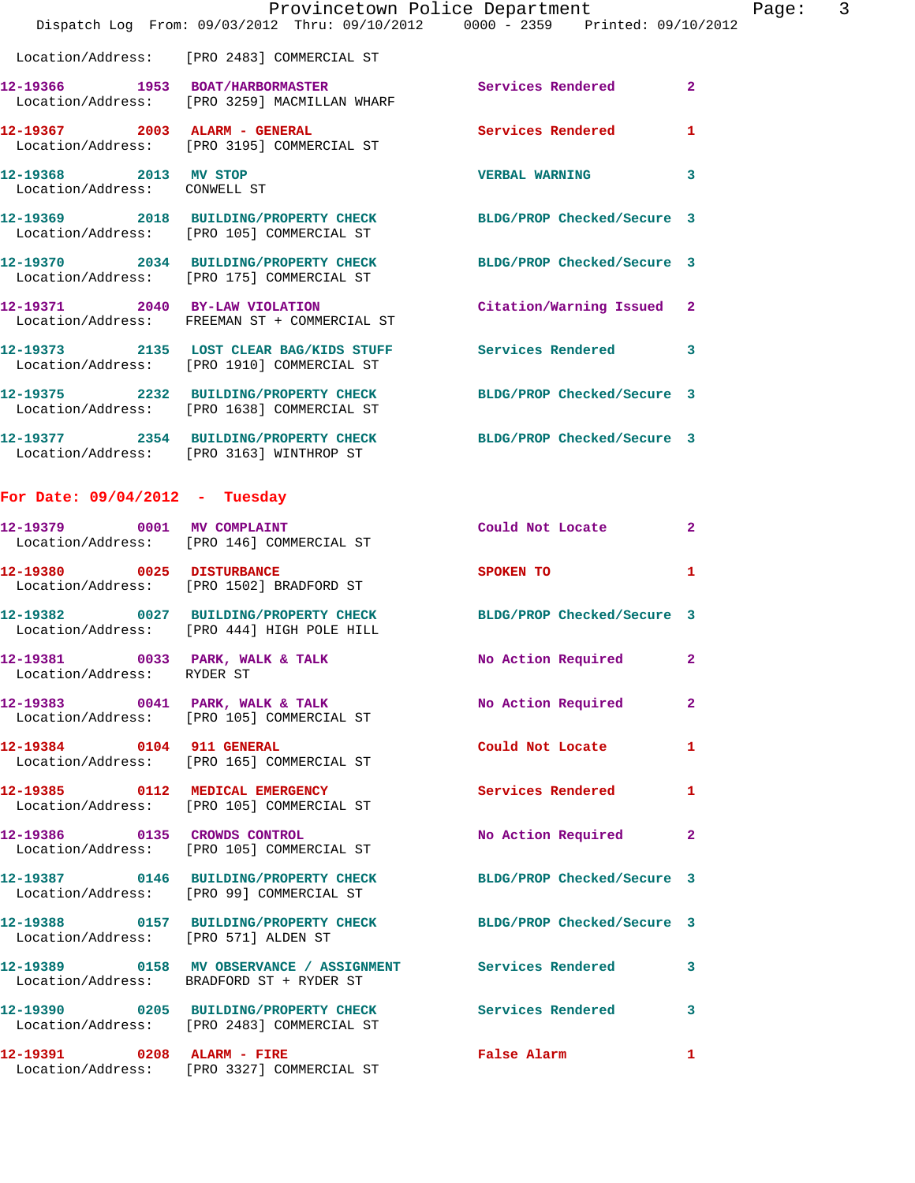|                              | Dispatch Log From: 09/03/2012 Thru: 09/10/2012 0000 - 2359 Printed: 09/10/2012                                 | Provincetown Police Department | $\mathsf{3}$<br>Page: |
|------------------------------|----------------------------------------------------------------------------------------------------------------|--------------------------------|-----------------------|
|                              | Location/Address: [PRO 2483] COMMERCIAL ST                                                                     |                                |                       |
|                              | 12-19366 1953 BOAT/HARBORMASTER<br>Location/Address: [PRO 3259] MACMILLAN WHARF                                | Services Rendered 2            |                       |
|                              | 12-19367 2003 ALARM - GENERAL Services Rendered<br>Location/Address: [PRO 3195] COMMERCIAL ST                  |                                | 1                     |
| Location/Address: CONWELL ST | 12-19368 2013 MV STOP                                                                                          | <b>VERBAL WARNING</b>          | 3                     |
|                              | 12-19369 2018 BUILDING/PROPERTY CHECK BLDG/PROP Checked/Secure 3<br>Location/Address: [PRO 105] COMMERCIAL ST  |                                |                       |
|                              | 12-19370 2034 BUILDING/PROPERTY CHECK BLDG/PROP Checked/Secure 3<br>Location/Address: [PRO 175] COMMERCIAL ST  |                                |                       |
|                              | 12-19371 2040 BY-LAW VIOLATION Citation/Warning Issued 2<br>Location/Address: FREEMAN ST + COMMERCIAL ST       |                                |                       |
|                              | 12-19373 2135 LOST CLEAR BAG/KIDS STUFF Services Rendered<br>Location/Address: [PRO 1910] COMMERCIAL ST        |                                | -3                    |
|                              | 12-19375 2232 BUILDING/PROPERTY CHECK BLDG/PROP Checked/Secure 3<br>Location/Address: [PRO 1638] COMMERCIAL ST |                                |                       |
|                              | 12-19377 2354 BUILDING/PROPERTY CHECK BLDG/PROP Checked/Secure 3<br>Location/Address: [PRO 3163] WINTHROP ST   |                                |                       |

## **For Date: 09/04/2012 - Tuesday**

Location/Address: [PRO 3327] COMMERCIAL ST

| 12-19391 0208 ALARM - FIRE                                    |                                                                                     | <b>False Alarm</b>         | 1              |
|---------------------------------------------------------------|-------------------------------------------------------------------------------------|----------------------------|----------------|
|                                                               | 12-19390 0205 BUILDING/PROPERTY CHECK<br>Location/Address: [PRO 2483] COMMERCIAL ST | <b>Services Rendered</b>   | 3              |
|                                                               | Location/Address: BRADFORD ST + RYDER ST                                            |                            | 3              |
| Location/Address: [PRO 571] ALDEN ST                          | 12-19388 0157 BUILDING/PROPERTY CHECK                                               | BLDG/PROP Checked/Secure 3 |                |
|                                                               | 12-19387 0146 BUILDING/PROPERTY CHECK<br>Location/Address: [PRO 99] COMMERCIAL ST   | BLDG/PROP Checked/Secure 3 |                |
| 12-19386 0135 CROWDS CONTROL                                  | Location/Address: [PRO 105] COMMERCIAL ST                                           | No Action Required         | $\overline{2}$ |
|                                                               | 12-19385 0112 MEDICAL EMERGENCY<br>Location/Address: [PRO 105] COMMERCIAL ST        | Services Rendered          | $\mathbf{1}$   |
| 12-19384 0104 911 GENERAL                                     | Location/Address: [PRO 165] COMMERCIAL ST                                           | Could Not Locate           | $\mathbf{1}$   |
|                                                               | 12-19383 0041 PARK, WALK & TALK<br>Location/Address: [PRO 105] COMMERCIAL ST        | No Action Required         | $\overline{2}$ |
| 12-19381 0033 PARK, WALK & TALK<br>Location/Address: RYDER ST |                                                                                     | No Action Required         | $\mathbf{2}$   |
|                                                               | 12-19382 0027 BUILDING/PROPERTY CHECK<br>Location/Address: [PRO 444] HIGH POLE HILL | BLDG/PROP Checked/Secure 3 |                |
| 12-19380 0025 DISTURBANCE                                     | Location/Address: [PRO 1502] BRADFORD ST                                            | SPOKEN TO                  | $\mathbf{1}$   |
| 12-19379 0001 MV COMPLAINT                                    | Location/Address: [PRO 146] COMMERCIAL ST                                           | Could Not Locate           | $\overline{2}$ |
|                                                               |                                                                                     |                            |                |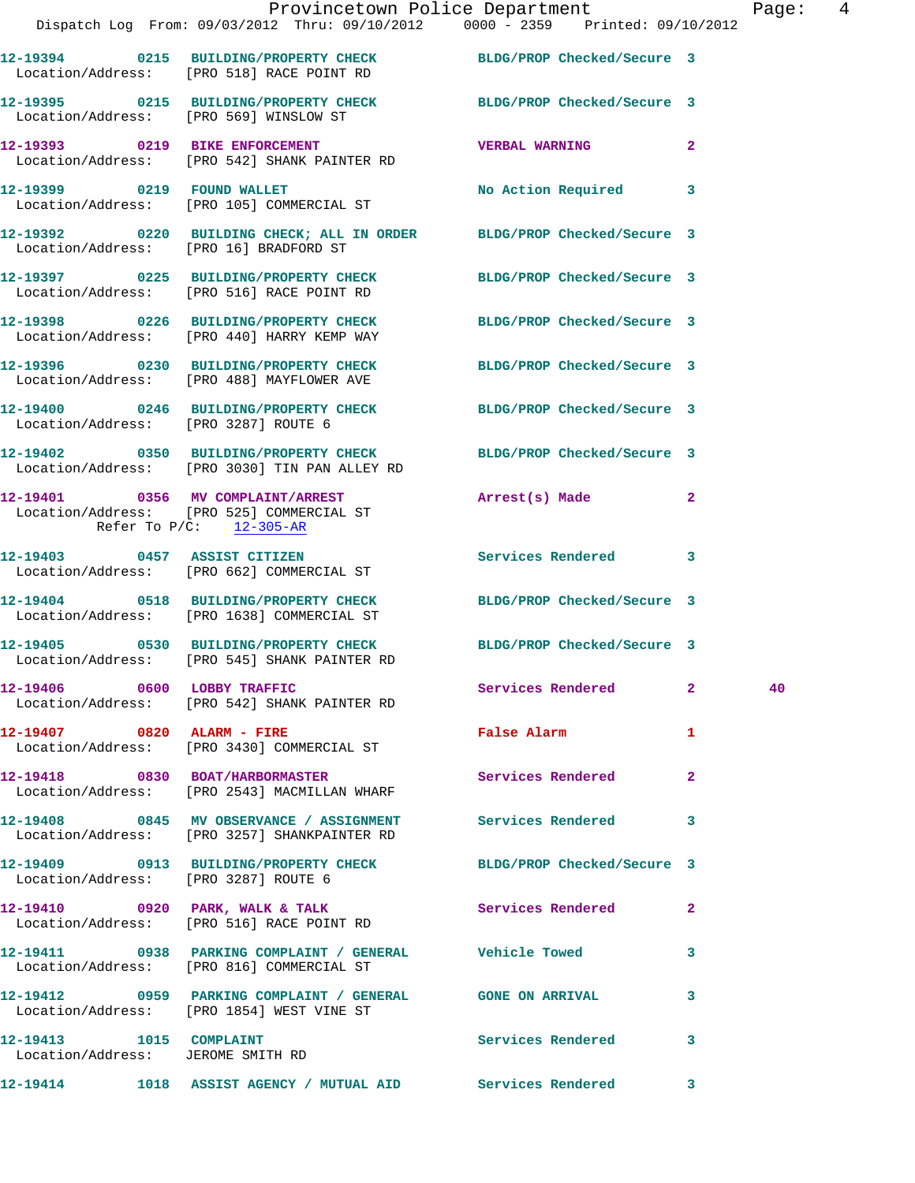|                                                                    | Dispatch Log From: 09/03/2012 Thru: 09/10/2012 0000 - 2359 Printed: 09/10/2012                                    | Provincetown Police Department |              | Page: 4 |
|--------------------------------------------------------------------|-------------------------------------------------------------------------------------------------------------------|--------------------------------|--------------|---------|
|                                                                    |                                                                                                                   |                                |              |         |
|                                                                    | 12-19394 0215 BUILDING/PROPERTY CHECK BLDG/PROP Checked/Secure 3<br>Location/Address: [PRO 518] RACE POINT RD     |                                |              |         |
| Location/Address: [PRO 569] WINSLOW ST                             | 12-19395 0215 BUILDING/PROPERTY CHECK BLDG/PROP Checked/Secure 3                                                  |                                |              |         |
|                                                                    | 12-19393 0219 BIKE ENFORCEMENT<br>Location/Address: [PRO 542] SHANK PAINTER RD                                    | <b>VERBAL WARNING</b>          | $\mathbf{2}$ |         |
|                                                                    | 12-19399 0219 FOUND WALLET<br>Location/Address: [PRO 105] COMMERCIAL ST                                           | No Action Required 3           |              |         |
| Location/Address: [PRO 16] BRADFORD ST                             | 12-19392 0220 BUILDING CHECK; ALL IN ORDER BLDG/PROP Checked/Secure 3                                             |                                |              |         |
|                                                                    | 12-19397 0225 BUILDING/PROPERTY CHECK BLDG/PROP Checked/Secure 3<br>Location/Address: [PRO 516] RACE POINT RD     |                                |              |         |
|                                                                    | 12-19398 0226 BUILDING/PROPERTY CHECK BLDG/PROP Checked/Secure 3<br>Location/Address: [PRO 440] HARRY KEMP WAY    |                                |              |         |
|                                                                    | 12-19396 0230 BUILDING/PROPERTY CHECK BLDG/PROP Checked/Secure 3<br>Location/Address: [PRO 488] MAYFLOWER AVE     |                                |              |         |
| Location/Address: [PRO 3287] ROUTE 6                               | 12-19400 0246 BUILDING/PROPERTY CHECK BLDG/PROP Checked/Secure 3                                                  |                                |              |         |
|                                                                    | 12-19402 0350 BUILDING/PROPERTY CHECK BLDG/PROP Checked/Secure 3<br>Location/Address: [PRO 3030] TIN PAN ALLEY RD |                                |              |         |
| Refer To $P/C$ : 12-305-AR                                         | 12-19401 0356 MV COMPLAINT/ARREST Arrest(s) Made 2<br>Location/Address: [PRO 525] COMMERCIAL ST                   |                                |              |         |
|                                                                    | 12-19403 0457 ASSIST CITIZEN<br>Location/Address: [PRO 662] COMMERCIAL ST                                         | Services Rendered 3            |              |         |
|                                                                    | 12-19404 0518 BUILDING/PROPERTY CHECK BLDG/PROP Checked/Secure 3<br>Location/Address: [PRO 1638] COMMERCIAL ST    |                                |              |         |
|                                                                    | 12-19405 0530 BUILDING/PROPERTY CHECK BLDG/PROP Checked/Secure 3<br>Location/Address: [PRO 545] SHANK PAINTER RD  |                                |              |         |
|                                                                    | 12-19406 0600 LOBBY TRAFFIC<br>Location/Address: [PRO 542] SHANK PAINTER RD                                       | Services Rendered 2            |              | 40      |
|                                                                    | 12-19407 0820 ALARM - FIRE<br>Location/Address: [PRO 3430] COMMERCIAL ST                                          | False Alarm <b>Example 2</b>   | $\mathbf{1}$ |         |
|                                                                    | 12-19418 0830 BOAT/HARBORMASTER Services Rendered 2<br>Location/Address: [PRO 2543] MACMILLAN WHARF               |                                |              |         |
|                                                                    | 12-19408 0845 MV OBSERVANCE / ASSIGNMENT Services Rendered<br>Location/Address: [PRO 3257] SHANKPAINTER RD        |                                | 3            |         |
| Location/Address: [PRO 3287] ROUTE 6                               | 12-19409 0913 BUILDING/PROPERTY CHECK BLDG/PROP Checked/Secure 3                                                  |                                |              |         |
|                                                                    | 12-19410 0920 PARK, WALK & TALK Services Rendered 2<br>Location/Address: [PRO 516] RACE POINT RD                  |                                |              |         |
|                                                                    | Location/Address: [PRO 816] COMMERCIAL ST                                                                         |                                | 3            |         |
|                                                                    | Location/Address: [PRO 1854] WEST VINE ST                                                                         |                                | $\mathbf{3}$ |         |
| 12-19413    1015    COMPLAINT<br>Location/Address: JEROME SMITH RD |                                                                                                                   | Services Rendered 3            |              |         |
|                                                                    | 12-19414 1018 ASSIST AGENCY / MUTUAL AID Services Rendered 3                                                      |                                |              |         |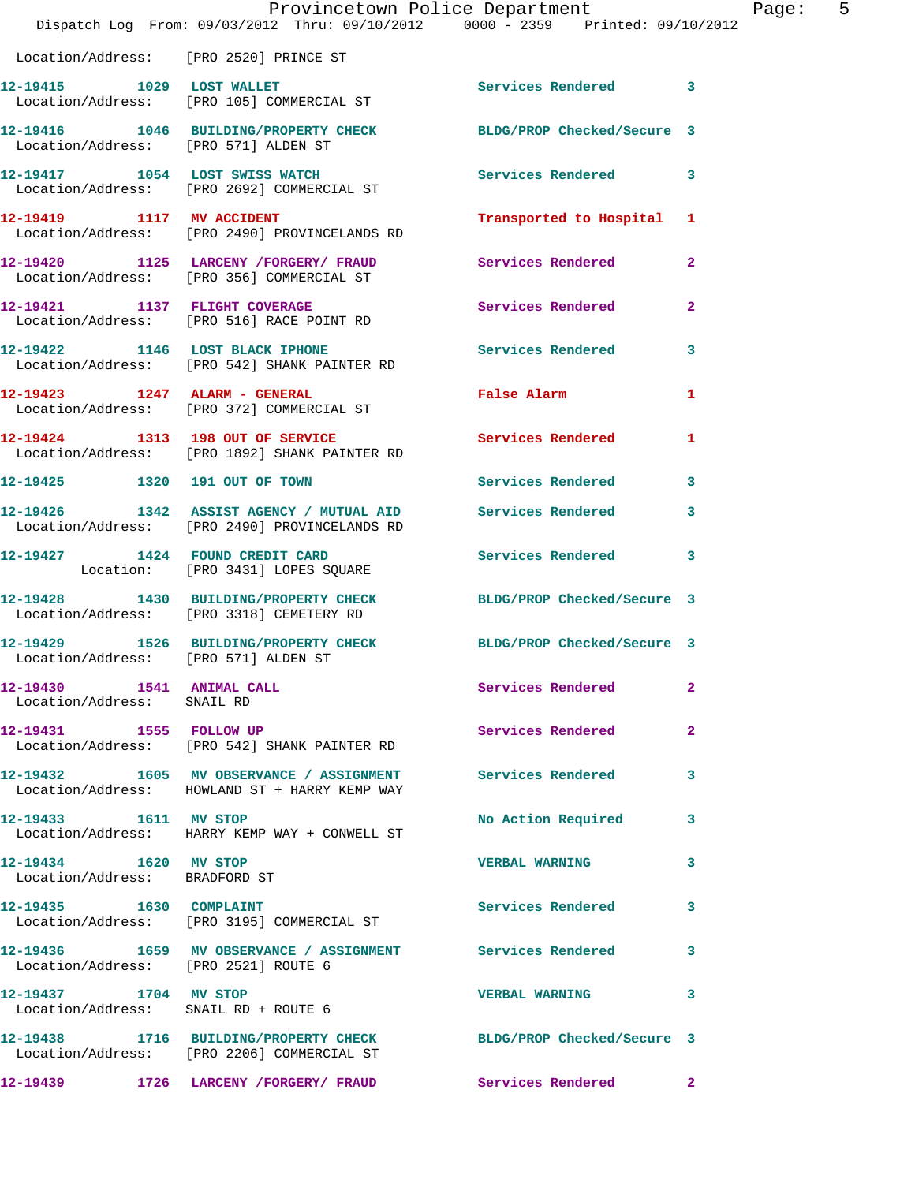|                                                               | Provincetown Police Department<br>Dispatch Log From: 09/03/2012 Thru: 09/10/2012 0000 - 2359 Printed: 09/10/2012 |                          |                |
|---------------------------------------------------------------|------------------------------------------------------------------------------------------------------------------|--------------------------|----------------|
| Location/Address: [PRO 2520] PRINCE ST                        |                                                                                                                  |                          |                |
|                                                               | 12-19415 1029 LOST WALLET<br>Location/Address: [PRO 105] COMMERCIAL ST                                           | Services Rendered        | 3              |
| Location/Address: [PRO 571] ALDEN ST                          | 12-19416 1046 BUILDING/PROPERTY CHECK BLDG/PROP Checked/Secure 3                                                 |                          |                |
|                                                               | 12-19417 1054 LOST SWISS WATCH<br>Location/Address: [PRO 2692] COMMERCIAL ST                                     | <b>Services Rendered</b> | 3              |
| 12-19419 1117 MV ACCIDENT                                     | Location/Address: [PRO 2490] PROVINCELANDS RD                                                                    | Transported to Hospital  | 1              |
|                                                               | 12-19420 1125 LARCENY / FORGERY / FRAUD Services Rendered<br>Location/Address: [PRO 356] COMMERCIAL ST           |                          | $\overline{2}$ |
|                                                               | 12-19421 1137 FLIGHT COVERAGE<br>Location/Address: [PRO 516] RACE POINT RD                                       | Services Rendered        | $\mathbf{2}$   |
|                                                               | 12-19422 1146 LOST BLACK IPHONE<br>Location/Address: [PRO 542] SHANK PAINTER RD                                  | Services Rendered        | 3              |
|                                                               | 12-19423 1247 ALARM - GENERAL<br>Location/Address: [PRO 372] COMMERCIAL ST                                       | False Alarm              | 1              |
|                                                               | 12-19424 1313 198 OUT OF SERVICE<br>Location/Address: [PRO 1892] SHANK PAINTER RD                                | Services Rendered        | 1              |
|                                                               | 12-19425 1320 191 OUT OF TOWN                                                                                    | <b>Services Rendered</b> | 3              |
| 12-19426                                                      | 1342 ASSIST AGENCY / MUTUAL AID Services Rendered<br>Location/Address: [PRO 2490] PROVINCELANDS RD               |                          | 3              |
|                                                               | 12-19427 1424 FOUND CREDIT CARD<br>Location: [PRO 3431] LOPES SQUARE                                             | <b>Services Rendered</b> | 3              |
|                                                               | 12-19428 1430 BUILDING/PROPERTY CHECK BLDG/PROP Checked/Secure 3<br>Location/Address: [PRO 3318] CEMETERY RD     |                          |                |
| Location/Address: [PRO 571] ALDEN ST                          | 12-19429 1526 BUILDING/PROPERTY CHECK BLDG/PROP Checked/Secure 3                                                 |                          |                |
| 12-19430   1541   ANIMAL CALL<br>Location/Address: SNAIL RD   |                                                                                                                  | Services Rendered        | 2              |
| 12-19431 1555 FOLLOW UP                                       | Location/Address: [PRO 542] SHANK PAINTER RD                                                                     | Services Rendered        | 2              |
|                                                               | 12-19432 1605 MV OBSERVANCE / ASSIGNMENT Services Rendered<br>Location/Address: HOWLAND ST + HARRY KEMP WAY      |                          | 3              |
| 12-19433 1611 MV STOP                                         | Location/Address: HARRY KEMP WAY + CONWELL ST                                                                    | No Action Required       | 3              |
| 12-19434 1620 MV STOP<br>Location/Address: BRADFORD ST        |                                                                                                                  | <b>VERBAL WARNING</b>    | 3              |
| 12-19435   1630   COMPLAINT                                   | Location/Address: [PRO 3195] COMMERCIAL ST                                                                       | <b>Services Rendered</b> | 3              |
| Location/Address: [PRO 2521] ROUTE 6                          | 12-19436 1659 MV OBSERVANCE / ASSIGNMENT Services Rendered                                                       |                          | 3              |
| 12-19437 1704 MV STOP<br>Location/Address: SNAIL RD + ROUTE 6 |                                                                                                                  | <b>VERBAL WARNING</b>    | 3              |
|                                                               | 12-19438 1716 BUILDING/PROPERTY CHECK BLDG/PROP Checked/Secure 3<br>Location/Address: [PRO 2206] COMMERCIAL ST   |                          |                |
|                                                               | 12-19439 1726 LARCENY / FORGERY / FRAUD                                                                          | Services Rendered        | 2              |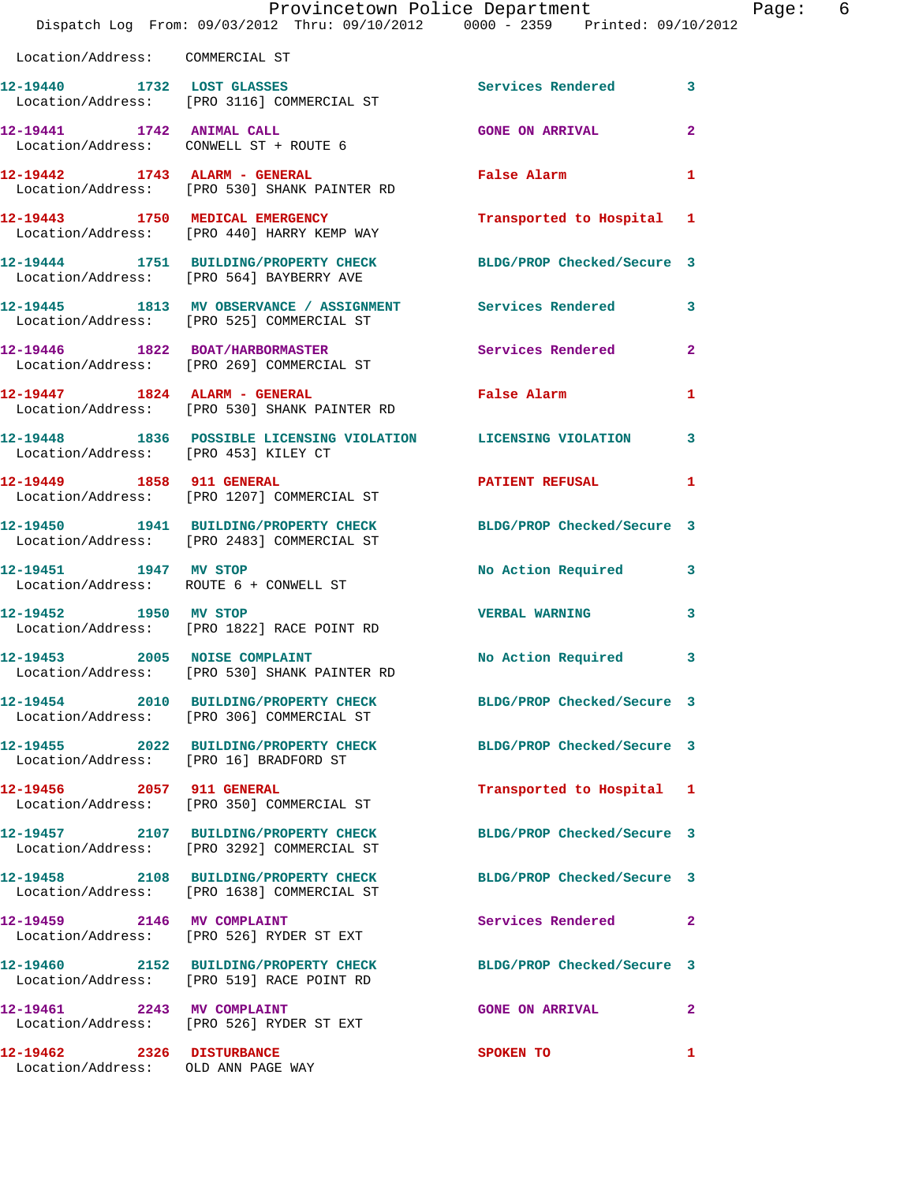|                                                                 | Provincetown Police Department<br>Dispatch Log From: 09/03/2012 Thru: 09/10/2012 0000 - 2359 Printed: 09/10/2012 |                            | P                       |
|-----------------------------------------------------------------|------------------------------------------------------------------------------------------------------------------|----------------------------|-------------------------|
| Location/Address: COMMERCIAL ST                                 |                                                                                                                  |                            |                         |
|                                                                 | 12-19440 1732 LOST GLASSES<br>Location/Address: [PRO 3116] COMMERCIAL ST                                         | Services Rendered          | 3                       |
|                                                                 | 12-19441 1742 ANIMAL CALL<br>Location/Address: CONWELL ST + ROUTE 6                                              | <b>GONE ON ARRIVAL</b>     | $\overline{\mathbf{2}}$ |
|                                                                 | 12-19442 1743 ALARM - GENERAL<br>Location/Address: [PRO 530] SHANK PAINTER RD                                    | False Alarm                | 1                       |
|                                                                 | 12-19443 1750 MEDICAL EMERGENCY<br>Location/Address: [PRO 440] HARRY KEMP WAY                                    | Transported to Hospital    | 1                       |
|                                                                 | 12-19444 1751 BUILDING/PROPERTY CHECK BLDG/PROP Checked/Secure 3<br>Location/Address: [PRO 564] BAYBERRY AVE     |                            |                         |
|                                                                 | 12-19445 1813 MV OBSERVANCE / ASSIGNMENT Services Rendered<br>Location/Address: [PRO 525] COMMERCIAL ST          |                            | 3                       |
|                                                                 | 12-19446 1822 BOAT/HARBORMASTER<br>Location/Address: [PRO 269] COMMERCIAL ST                                     | Services Rendered          | $\overline{\mathbf{2}}$ |
|                                                                 | 12-19447 1824 ALARM - GENERAL<br>Location/Address: [PRO 530] SHANK PAINTER RD                                    | <b>False Alarm</b>         | 1                       |
|                                                                 | 12-19448 1836 POSSIBLE LICENSING VIOLATION LICENSING VIOLATION<br>Location/Address: [PRO 453] KILEY CT           |                            | 3                       |
|                                                                 | 12-19449 1858 911 GENERAL<br>Location/Address: [PRO 1207] COMMERCIAL ST                                          | <b>PATIENT REFUSAL</b>     | 1                       |
|                                                                 | 12-19450 1941 BUILDING/PROPERTY CHECK BLDG/PROP Checked/Secure 3<br>Location/Address: [PRO 2483] COMMERCIAL ST   |                            |                         |
|                                                                 | 12-19451 1947 MV STOP<br>Location/Address: ROUTE 6 + CONWELL ST                                                  | No Action Required         | 3                       |
| 12-19452 1950 MV STOP                                           | Location/Address: [PRO 1822] RACE POINT RD                                                                       | <b>VERBAL WARNING</b>      | 3                       |
| 12-19453 2005 NOISE COMPLAINT                                   | Location/Address: [PRO 530] SHANK PAINTER RD                                                                     | No Action Required         | 3                       |
|                                                                 | 12-19454 2010 BUILDING/PROPERTY CHECK<br>Location/Address: [PRO 306] COMMERCIAL ST                               | BLDG/PROP Checked/Secure 3 |                         |
| Location/Address: [PRO 16] BRADFORD ST                          | 12-19455 2022 BUILDING/PROPERTY CHECK                                                                            | BLDG/PROP Checked/Secure 3 |                         |
| 12-19456 2057 911 GENERAL                                       | Location/Address: [PRO 350] COMMERCIAL ST                                                                        | Transported to Hospital 1  |                         |
|                                                                 | 12-19457 2107 BUILDING/PROPERTY CHECK<br>Location/Address: [PRO 3292] COMMERCIAL ST                              | BLDG/PROP Checked/Secure 3 |                         |
|                                                                 | 12-19458 2108 BUILDING/PROPERTY CHECK<br>Location/Address: [PRO 1638] COMMERCIAL ST                              | BLDG/PROP Checked/Secure 3 |                         |
|                                                                 | 12-19459 2146 MV COMPLAINT<br>Location/Address: [PRO 526] RYDER ST EXT                                           | Services Rendered          | $\mathbf{2}$            |
|                                                                 | 12-19460 2152 BUILDING/PROPERTY CHECK<br>Location/Address: [PRO 519] RACE POINT RD                               | BLDG/PROP Checked/Secure 3 |                         |
| 12-19461 2243 MV COMPLAINT                                      | Location/Address: [PRO 526] RYDER ST EXT                                                                         | <b>GONE ON ARRIVAL</b>     | 2                       |
| 12-19462 2326 DISTURBANCE<br>Location/Address: OLD ANN PAGE WAY |                                                                                                                  | SPOKEN TO                  | 1                       |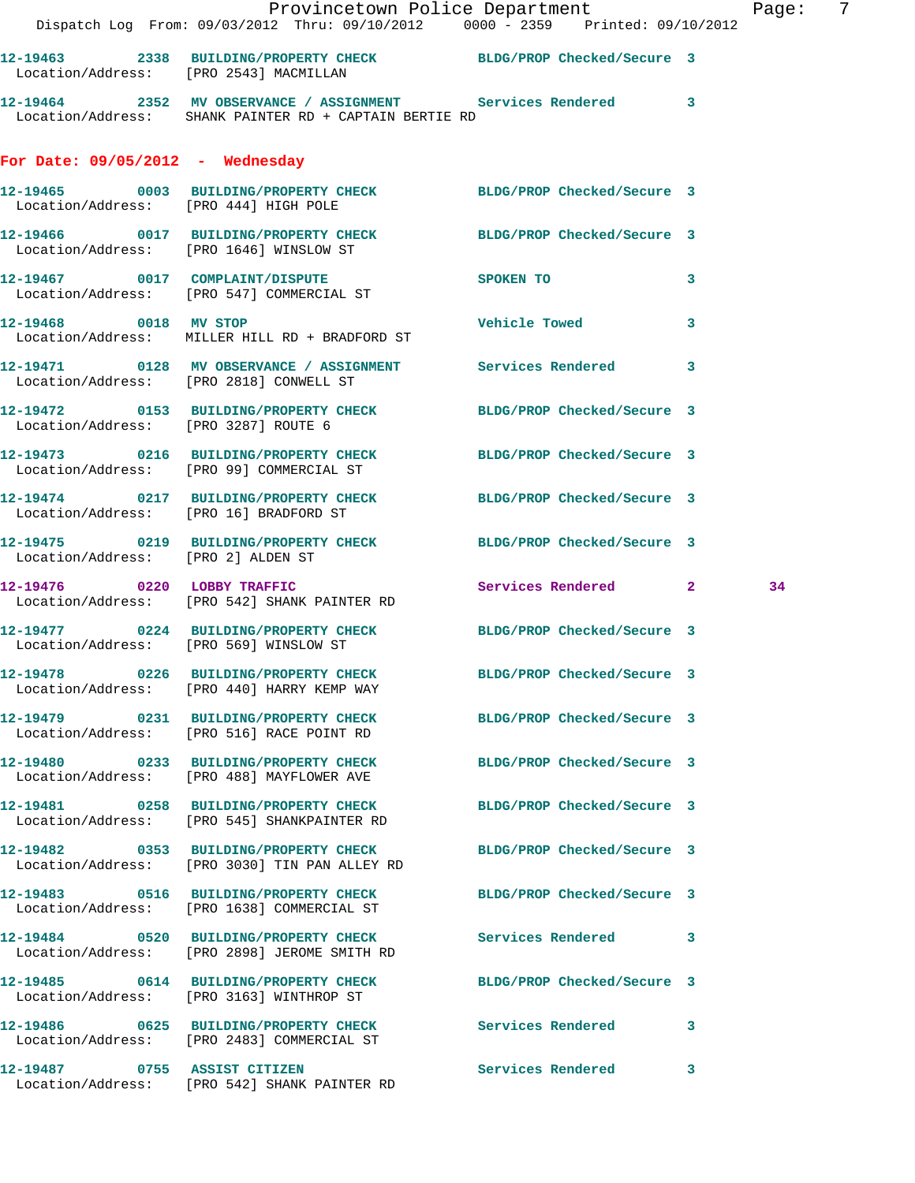| $\mathcal{L}(\mathcal{L})$             | Provincetown Police Department The Page: 7<br>Dispatch Log From: 09/03/2012 Thru: 09/10/2012 0000 - 2359 Printed: 09/10/2012 |                            |    |
|----------------------------------------|------------------------------------------------------------------------------------------------------------------------------|----------------------------|----|
|                                        | 12-19463 2338 BUILDING/PROPERTY CHECK BLDG/PROP Checked/Secure 3<br>Location/Address: [PRO 2543] MACMILLAN                   |                            |    |
|                                        | 12-19464 2352 MV OBSERVANCE / ASSIGNMENT Services Rendered 3<br>Location/Address: SHANK PAINTER RD + CAPTAIN BERTIE RD       |                            |    |
| For Date: $09/05/2012$ - Wednesday     |                                                                                                                              |                            |    |
|                                        | 12-19465 0003 BUILDING/PROPERTY CHECK BLDG/PROP Checked/Secure 3<br>Location/Address: [PRO 444] HIGH POLE                    |                            |    |
|                                        | 12-19466 0017 BUILDING/PROPERTY CHECK BLDG/PROP Checked/Secure 3<br>Location/Address: [PRO 1646] WINSLOW ST                  |                            |    |
|                                        | 12-19467 0017 COMPLAINT/DISPUTE<br>Location/Address: [PRO 547] COMMERCIAL ST                                                 | SPOKEN TO<br>$\sim$ 3      |    |
|                                        | 12-19468 0018 MV STOP<br>Location/Address: MILLER HILL RD + BRADFORD ST                                                      | Vehicle Towed 3            |    |
|                                        | 12-19471 0128 MV OBSERVANCE / ASSIGNMENT Services Rendered 3<br>Location/Address: [PRO 2818] CONWELL ST                      |                            |    |
| Location/Address: [PRO 3287] ROUTE 6   | 12-19472 0153 BUILDING/PROPERTY CHECK BLDG/PROP Checked/Secure 3                                                             |                            |    |
|                                        | 12-19473 0216 BUILDING/PROPERTY CHECK BLDG/PROP Checked/Secure 3<br>Location/Address: [PRO 99] COMMERCIAL ST                 |                            |    |
|                                        | 12-19474 0217 BUILDING/PROPERTY CHECK BLDG/PROP Checked/Secure 3<br>Location/Address: [PRO 16] BRADFORD ST                   |                            |    |
| Location/Address: [PRO 2] ALDEN ST     | 12-19475 0219 BUILDING/PROPERTY CHECK BLDG/PROP Checked/Secure 3                                                             |                            |    |
|                                        | 12-19476 0220 LOBBY TRAFFIC<br>Location/Address: [PRO 542] SHANK PAINTER RD                                                  | Services Rendered 2        | 34 |
| Location/Address: [PRO 569] WINSLOW ST | 12-19477 0224 BUILDING/PROPERTY CHECK BLDG/PROP Checked/Secure 3                                                             |                            |    |
|                                        | 12-19478 0226 BUILDING/PROPERTY CHECK<br>Location/Address: [PRO 440] HARRY KEMP WAY                                          | BLDG/PROP Checked/Secure 3 |    |
|                                        | 12-19479 0231 BUILDING/PROPERTY CHECK<br>Location/Address: [PRO 516] RACE POINT RD                                           | BLDG/PROP Checked/Secure 3 |    |
|                                        | 12-19480 0233 BUILDING/PROPERTY CHECK<br>Location/Address: [PRO 488] MAYFLOWER AVE                                           | BLDG/PROP Checked/Secure 3 |    |
|                                        | 12-19481 0258 BUILDING/PROPERTY CHECK<br>Location/Address: [PRO 545] SHANKPAINTER RD                                         | BLDG/PROP Checked/Secure 3 |    |
|                                        | 12-19482 0353 BUILDING/PROPERTY CHECK<br>Location/Address: [PRO 3030] TIN PAN ALLEY RD                                       | BLDG/PROP Checked/Secure 3 |    |
|                                        | 12-19483 0516 BUILDING/PROPERTY CHECK BLDG/PROP Checked/Secure 3<br>Location/Address: [PRO 1638] COMMERCIAL ST               |                            |    |
|                                        | 12-19484 0520 BUILDING/PROPERTY CHECK Services Rendered 3<br>Location/Address: [PRO 2898] JEROME SMITH RD                    |                            |    |
|                                        | 12-19485 0614 BUILDING/PROPERTY CHECK BLDG/PROP Checked/Secure 3<br>Location/Address: [PRO 3163] WINTHROP ST                 |                            |    |
|                                        | 12-19486 0625 BUILDING/PROPERTY CHECK Services Rendered<br>Location/Address: [PRO 2483] COMMERCIAL ST                        |                            | 3  |
| 12-19487 0755 ASSIST CITIZEN           |                                                                                                                              | Services Rendered 3        |    |

Location/Address: [PRO 542] SHANK PAINTER RD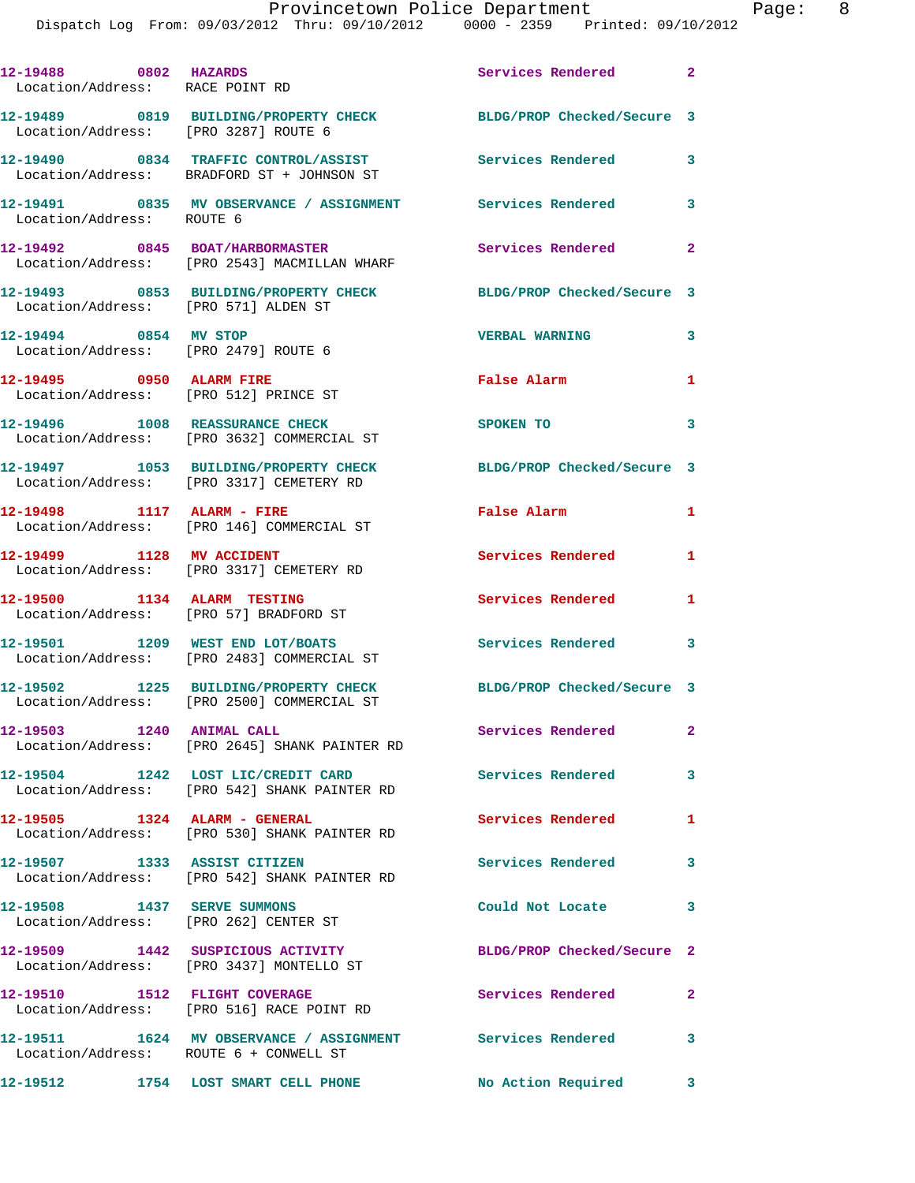| 12-19488 0802 HAZARDS<br>Location/Address: RACE POINT RD             |                                                                                                        | Services Rendered 2        |                          |
|----------------------------------------------------------------------|--------------------------------------------------------------------------------------------------------|----------------------------|--------------------------|
| Location/Address: [PRO 3287] ROUTE 6                                 | 12-19489 0819 BUILDING/PROPERTY CHECK                                                                  | BLDG/PROP Checked/Secure 3 |                          |
|                                                                      | 12-19490 0834 TRAFFIC CONTROL/ASSIST Services Rendered 3<br>Location/Address: BRADFORD ST + JOHNSON ST |                            |                          |
| Location/Address: ROUTE 6                                            | 12-19491 0835 MV OBSERVANCE / ASSIGNMENT Services Rendered                                             |                            | 3                        |
|                                                                      | 12-19492 0845 BOAT/HARBORMASTER<br>Location/Address: [PRO 2543] MACMILLAN WHARF                        | Services Rendered 2        |                          |
|                                                                      | 12-19493 0853 BUILDING/PROPERTY CHECK<br>Location/Address: [PRO 571] ALDEN ST                          | BLDG/PROP Checked/Secure 3 |                          |
| 12-19494 0854 MV STOP<br>Location/Address: [PRO 2479] ROUTE 6        |                                                                                                        | <b>VERBAL WARNING</b>      | 3                        |
| 12-19495 0950 ALARM FIRE                                             | Location/Address: [PRO 512] PRINCE ST                                                                  | False Alarm                | 1                        |
| 12-19496 1008 REASSURANCE CHECK                                      | Location/Address: [PRO 3632] COMMERCIAL ST                                                             | SPOKEN TO                  | 3                        |
|                                                                      | 12-19497 1053 BUILDING/PROPERTY CHECK<br>Location/Address: [PRO 3317] CEMETERY RD                      | BLDG/PROP Checked/Secure 3 |                          |
|                                                                      | 12-19498 1117 ALARM - FIRE<br>Location/Address: [PRO 146] COMMERCIAL ST                                | False Alarm                | $\mathbf{1}$             |
| 12-19499 1128 MV ACCIDENT                                            | Location/Address: [PRO 3317] CEMETERY RD                                                               | Services Rendered          | $\mathbf{1}$             |
|                                                                      | 12-19500 1134 ALARM TESTING<br>Location/Address: [PRO 57] BRADFORD ST                                  | Services Rendered          | 1                        |
|                                                                      | 12-19501 1209 WEST END LOT/BOATS<br>Location/Address: [PRO 2483] COMMERCIAL ST                         | Services Rendered 3        |                          |
|                                                                      | 12-19502 1225 BUILDING/PROPERTY CHECK<br>Location/Address: [PRO 2500] COMMERCIAL ST                    | BLDG/PROP Checked/Secure 3 |                          |
| 12-19503 1240 ANIMAL CALL                                            | Location/Address: [PRO 2645] SHANK PAINTER RD                                                          | Services Rendered          |                          |
|                                                                      | 12-19504 1242 LOST LIC/CREDIT CARD<br>Location/Address: [PRO 542] SHANK PAINTER RD                     | Services Rendered 3        |                          |
| 12-19505 1324 ALARM - GENERAL                                        | Location/Address: [PRO 530] SHANK PAINTER RD                                                           | Services Rendered          | $\mathbf{1}$             |
| 12-19507 1333 ASSIST CITIZEN                                         | Location/Address: [PRO 542] SHANK PAINTER RD                                                           | <b>Services Rendered</b>   | $\overline{\phantom{a}}$ |
| 12-19508 1437 SERVE SUMMONS<br>Location/Address: [PRO 262] CENTER ST |                                                                                                        | Could Not Locate 3         |                          |
|                                                                      | 12-19509 1442 SUSPICIOUS ACTIVITY<br>Location/Address: [PRO 3437] MONTELLO ST                          | BLDG/PROP Checked/Secure 2 |                          |
| 12-19510 1512 FLIGHT COVERAGE                                        | Location/Address: [PRO 516] RACE POINT RD                                                              | <b>Services Rendered</b>   | $\mathbf{2}$             |
| Location/Address: ROUTE 6 + CONWELL ST                               | 12-19511 1624 MV OBSERVANCE / ASSIGNMENT Services Rendered                                             |                            | 3                        |
|                                                                      | 12-19512 1754 LOST SMART CELL PHONE                                                                    | No Action Required         | $\mathbf{3}$             |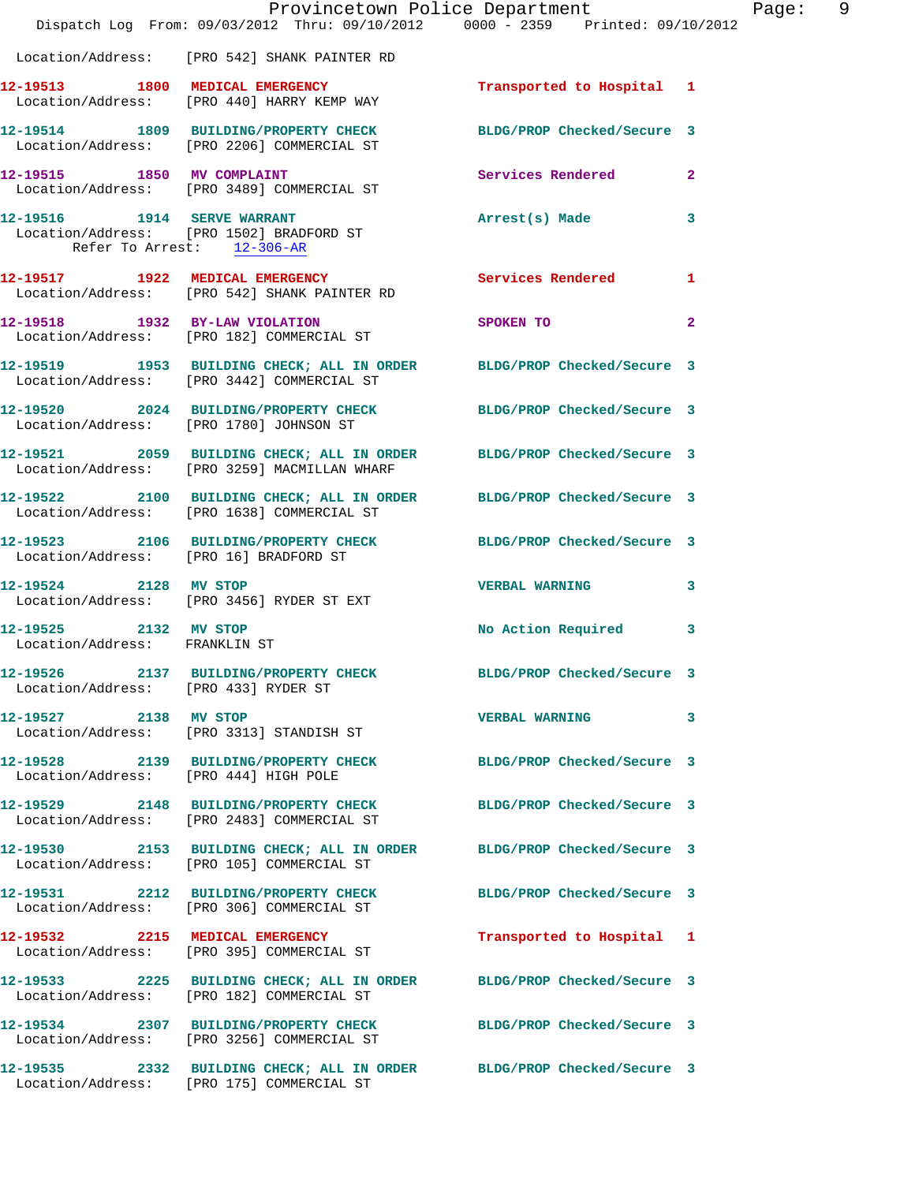|                                        | Dispatch Log From: 09/03/2012 Thru: 09/10/2012 0000 - 2359 Printed: 09/10/2012                                        | Provincetown Police Department | Page: 9        |
|----------------------------------------|-----------------------------------------------------------------------------------------------------------------------|--------------------------------|----------------|
|                                        | Location/Address: [PRO 542] SHANK PAINTER RD                                                                          |                                |                |
|                                        | 12-19513 1800 MEDICAL EMERGENCY<br>Location/Address: [PRO 440] HARRY KEMP WAY                                         | Transported to Hospital 1      |                |
|                                        | 12-19514 1809 BUILDING/PROPERTY CHECK BLDG/PROP Checked/Secure 3<br>Location/Address: [PRO 2206] COMMERCIAL ST        |                                |                |
| 12-19515 1850 MV COMPLAINT             | Location/Address: [PRO 3489] COMMERCIAL ST                                                                            | Services Rendered 2            |                |
| Refer To Arrest: 12-306-AR             | 12-19516 1914 SERVE WARRANT<br>Location/Address: [PRO 1502] BRADFORD ST                                               | Arrest(s) Made                 | $\mathbf{3}$   |
|                                        | 12-19517 1922 MEDICAL EMERGENCY Services Rendered 1<br>Location/Address: [PRO 542] SHANK PAINTER RD                   |                                |                |
|                                        | 12-19518 1932 BY-LAW VIOLATION<br>Location/Address: [PRO 182] COMMERCIAL ST                                           | <b>SPOKEN TO</b>               | $\overline{2}$ |
|                                        | 12-19519 1953 BUILDING CHECK; ALL IN ORDER BLDG/PROP Checked/Secure 3<br>Location/Address: [PRO 3442] COMMERCIAL ST   |                                |                |
|                                        | 12-19520 2024 BUILDING/PROPERTY CHECK BLDG/PROP Checked/Secure 3<br>Location/Address: [PRO 1780] JOHNSON ST           |                                |                |
|                                        | 12-19521 2059 BUILDING CHECK; ALL IN ORDER BLDG/PROP Checked/Secure 3<br>Location/Address: [PRO 3259] MACMILLAN WHARF |                                |                |
|                                        | 12-19522 2100 BUILDING CHECK; ALL IN ORDER BLDG/PROP Checked/Secure 3<br>Location/Address: [PRO 1638] COMMERCIAL ST   |                                |                |
| Location/Address: [PRO 16] BRADFORD ST | 12-19523 2106 BUILDING/PROPERTY CHECK BLDG/PROP Checked/Secure 3                                                      |                                |                |
| 12-19524 2128 MV STOP                  | Location/Address: [PRO 3456] RYDER ST EXT                                                                             | <b>VERBAL WARNING 3</b>        |                |
| Location/Address: FRANKLIN ST          | 12-19525 2132 MV STOP                                                                                                 | No Action Required 3           |                |
| Location/Address: [PRO 433] RYDER ST   | 12-19526 2137 BUILDING/PROPERTY CHECK                                                                                 | BLDG/PROP Checked/Secure 3     |                |
| 12-19527 2138 MV STOP                  | Location/Address: [PRO 3313] STANDISH ST                                                                              | <b>VERBAL WARNING</b>          | $\mathbf{3}$   |
| Location/Address: [PRO 444] HIGH POLE  | 12-19528 2139 BUILDING/PROPERTY CHECK BLDG/PROP Checked/Secure 3                                                      |                                |                |
|                                        | 12-19529 2148 BUILDING/PROPERTY CHECK BLDG/PROP Checked/Secure 3<br>Location/Address: [PRO 2483] COMMERCIAL ST        |                                |                |
|                                        | 12-19530 2153 BUILDING CHECK; ALL IN ORDER BLDG/PROP Checked/Secure 3<br>Location/Address: [PRO 105] COMMERCIAL ST    |                                |                |
|                                        | 12-19531 2212 BUILDING/PROPERTY CHECK<br>Location/Address: [PRO 306] COMMERCIAL ST                                    | BLDG/PROP Checked/Secure 3     |                |
|                                        | 12-19532 2215 MEDICAL EMERGENCY<br>Location/Address: [PRO 395] COMMERCIAL ST                                          | Transported to Hospital 1      |                |
|                                        | 12-19533 2225 BUILDING CHECK; ALL IN ORDER BLDG/PROP Checked/Secure 3<br>Location/Address: [PRO 182] COMMERCIAL ST    |                                |                |
|                                        | 12-19534 2307 BUILDING/PROPERTY CHECK BLDG/PROP Checked/Secure 3<br>Location/Address: [PRO 3256] COMMERCIAL ST        |                                |                |
|                                        | 12-19535 2332 BUILDING CHECK; ALL IN ORDER BLDG/PROP Checked/Secure 3<br>Location/Address: [PRO 175] COMMERCIAL ST    |                                |                |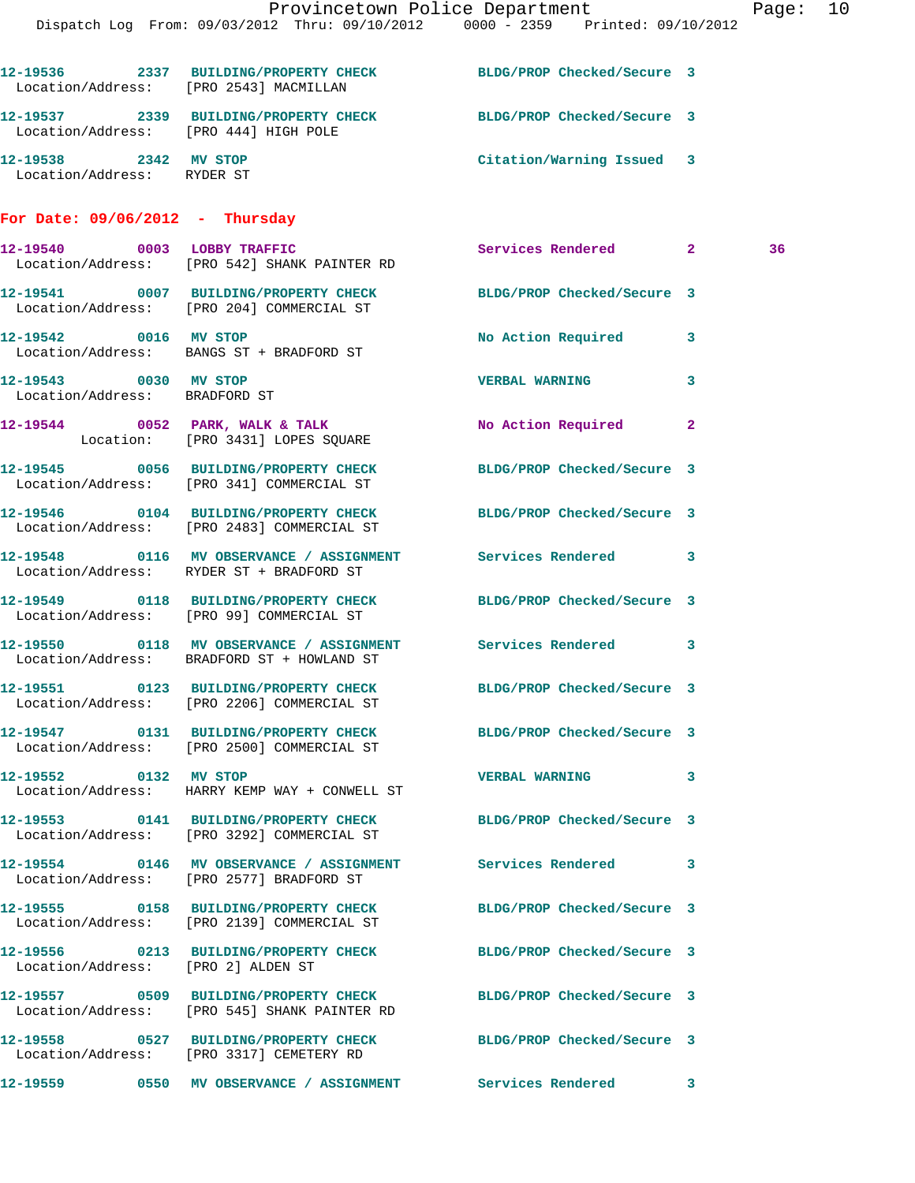|                                                        | Dispatch Log From: 09/03/2012 Thru: 09/10/2012 0000 - 2359 Printed: 09/10/2012                                   | Provincetown Police Department |   | Page: 10 |  |
|--------------------------------------------------------|------------------------------------------------------------------------------------------------------------------|--------------------------------|---|----------|--|
|                                                        |                                                                                                                  |                                |   |          |  |
| Location/Address: [PRO 2543] MACMILLAN                 | 12-19536 2337 BUILDING/PROPERTY CHECK BLDG/PROP Checked/Secure 3                                                 |                                |   |          |  |
| Location/Address: [PRO 444] HIGH POLE                  | 12-19537 2339 BUILDING/PROPERTY CHECK BLDG/PROP Checked/Secure 3                                                 |                                |   |          |  |
| 12-19538 2342 MV STOP<br>Location/Address: RYDER ST    |                                                                                                                  | Citation/Warning Issued 3      |   |          |  |
| For Date: $09/06/2012 - Thursday$                      |                                                                                                                  |                                |   |          |  |
|                                                        | 12-19540 0003 LOBBY TRAFFIC<br>Location/Address: [PRO 542] SHANK PAINTER RD                                      | Services Rendered 2            |   | 36       |  |
|                                                        | 12-19541 0007 BUILDING/PROPERTY CHECK BLDG/PROP Checked/Secure 3<br>Location/Address: [PRO 204] COMMERCIAL ST    |                                |   |          |  |
| 12-19542 0016 MV STOP                                  | Location/Address: BANGS ST + BRADFORD ST                                                                         | No Action Required 3           |   |          |  |
| 12-19543 0030 MV STOP<br>Location/Address: BRADFORD ST |                                                                                                                  | <b>VERBAL WARNING</b>          | 3 |          |  |
|                                                        | $12-19544$ 0052 PARK, WALK & TALK<br>Location: [PRO 3431] LOPES SQUARE                                           | No Action Required 2           |   |          |  |
|                                                        | 12-19545 0056 BUILDING/PROPERTY CHECK BLDG/PROP Checked/Secure 3<br>Location/Address: [PRO 341] COMMERCIAL ST    |                                |   |          |  |
|                                                        | 12-19546 0104 BUILDING/PROPERTY CHECK BLDG/PROP Checked/Secure 3<br>Location/Address: [PRO 2483] COMMERCIAL ST   |                                |   |          |  |
|                                                        | 12-19548 0116 MV OBSERVANCE / ASSIGNMENT Services Rendered 3<br>Location/Address: RYDER ST + BRADFORD ST         |                                |   |          |  |
|                                                        | 12-19549 0118 BUILDING/PROPERTY CHECK BLDG/PROP Checked/Secure 3<br>Location/Address: [PRO 99] COMMERCIAL ST     |                                |   |          |  |
|                                                        | 12-19550 0118 MV OBSERVANCE / ASSIGNMENT Services Rendered 3<br>Location/Address: BRADFORD ST + HOWLAND ST       |                                |   |          |  |
|                                                        | 12-19551 0123 BUILDING/PROPERTY CHECK BLDG/PROP Checked/Secure 3<br>Location/Address: [PRO 2206] COMMERCIAL ST   |                                |   |          |  |
|                                                        | 12-19547 0131 BUILDING/PROPERTY CHECK BLDG/PROP Checked/Secure 3<br>Location/Address: [PRO 2500] COMMERCIAL ST   |                                |   |          |  |
| 12-19552 0132 MV STOP                                  | Location/Address: HARRY KEMP WAY + CONWELL ST                                                                    | VERBAL WARNING 3               |   |          |  |
|                                                        | 12-19553 0141 BUILDING/PROPERTY CHECK BLDG/PROP Checked/Secure 3<br>Location/Address: [PRO 3292] COMMERCIAL ST   |                                |   |          |  |
|                                                        | 12-19554 0146 MV OBSERVANCE / ASSIGNMENT Services Rendered 3<br>Location/Address: [PRO 2577] BRADFORD ST         |                                |   |          |  |
|                                                        | 12-19555 0158 BUILDING/PROPERTY CHECK<br>Location/Address: [PRO 2139] COMMERCIAL ST                              | BLDG/PROP Checked/Secure 3     |   |          |  |
| Location/Address: [PRO 2] ALDEN ST                     | 12-19556 0213 BUILDING/PROPERTY CHECK BLDG/PROP Checked/Secure 3                                                 |                                |   |          |  |
|                                                        | 12-19557 0509 BUILDING/PROPERTY CHECK BLDG/PROP Checked/Secure 3<br>Location/Address: [PRO 545] SHANK PAINTER RD |                                |   |          |  |
|                                                        | 12-19558 0527 BUILDING/PROPERTY CHECK BLDG/PROP Checked/Secure 3<br>Location/Address: [PRO 3317] CEMETERY RD     |                                |   |          |  |
|                                                        |                                                                                                                  |                                |   |          |  |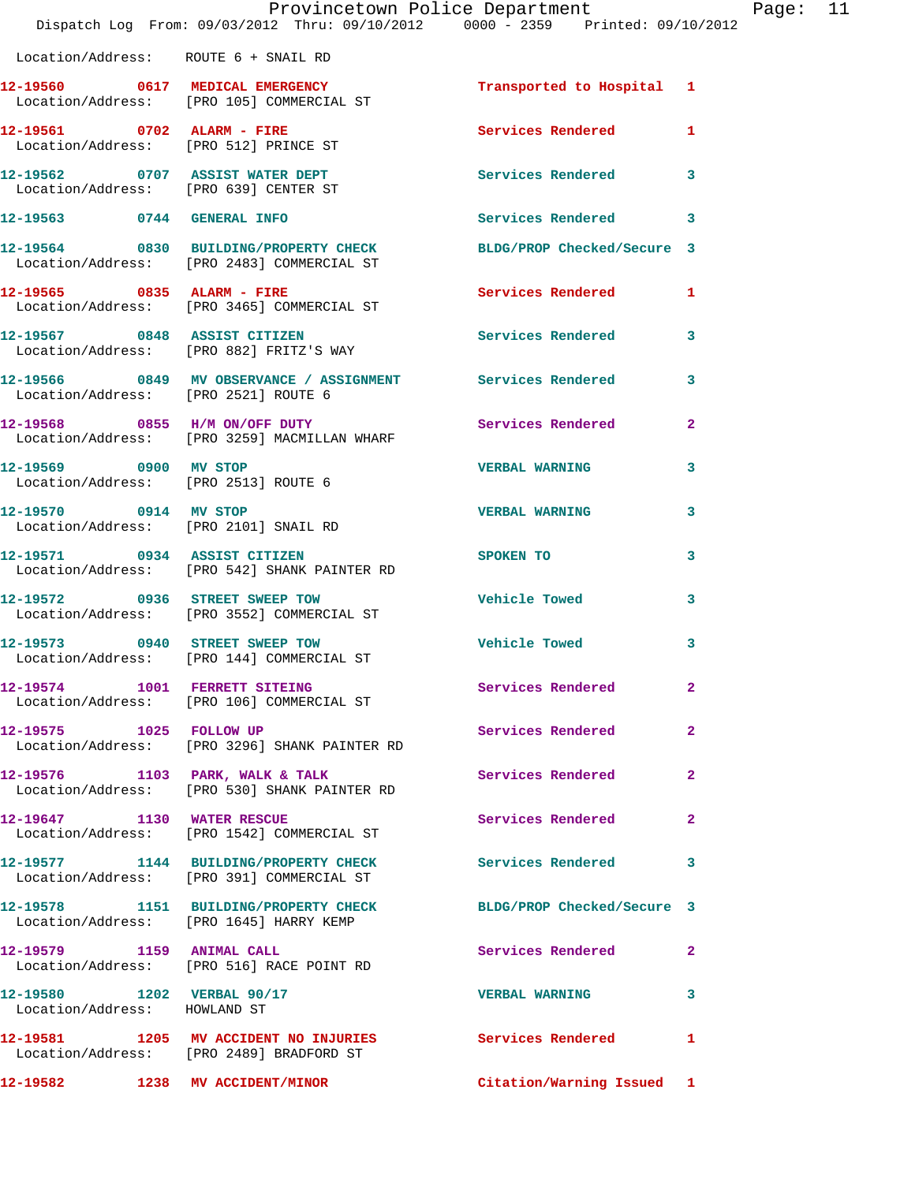|                                                                          | Provincetown Police Department<br>Dispatch Log From: 09/03/2012 Thru: 09/10/2012 0000 - 2359 Printed: 09/10/2012 |                           |                |
|--------------------------------------------------------------------------|------------------------------------------------------------------------------------------------------------------|---------------------------|----------------|
| Location/Address: ROUTE 6 + SNAIL RD                                     |                                                                                                                  |                           |                |
|                                                                          | 12-19560 0617 MEDICAL EMERGENCY<br>Location/Address: [PRO 105] COMMERCIAL ST                                     | Transported to Hospital 1 |                |
| 12-19561 0702 ALARM - FIRE                                               | Location/Address: [PRO 512] PRINCE ST                                                                            | <b>Services Rendered</b>  | 1              |
| 12-19562 0707 ASSIST WATER DEPT<br>Location/Address: [PRO 639] CENTER ST |                                                                                                                  | <b>Services Rendered</b>  | 3              |
| 12-19563 0744 GENERAL INFO                                               |                                                                                                                  | Services Rendered         | 3              |
|                                                                          | 12-19564 0830 BUILDING/PROPERTY CHECK BLDG/PROP Checked/Secure 3<br>Location/Address: [PRO 2483] COMMERCIAL ST   |                           |                |
|                                                                          | 12-19565 0835 ALARM - FIRE<br>Location/Address: [PRO 3465] COMMERCIAL ST                                         | <b>Services Rendered</b>  | 1              |
|                                                                          | 12-19567 0848 ASSIST CITIZEN<br>Location/Address: [PRO 882] FRITZ'S WAY                                          | <b>Services Rendered</b>  | 3              |
| Location/Address: [PRO 2521] ROUTE 6                                     | 12-19566 0849 MV OBSERVANCE / ASSIGNMENT Services Rendered                                                       |                           | 3              |
|                                                                          | 12-19568 0855 H/M ON/OFF DUTY<br>Location/Address: [PRO 3259] MACMILLAN WHARF                                    | Services Rendered         | $\overline{2}$ |
| 12-19569 0900 MV STOP<br>Location/Address: [PRO 2513] ROUTE 6            |                                                                                                                  | <b>VERBAL WARNING</b>     | 3              |
| 12-19570 0914 MV STOP<br>Location/Address: [PRO 2101] SNAIL RD           |                                                                                                                  | <b>VERBAL WARNING</b>     | 3              |
| 12-19571 0934 ASSIST CITIZEN                                             | Location/Address: [PRO 542] SHANK PAINTER RD                                                                     | SPOKEN TO                 | 3              |
|                                                                          | 12-19572 0936 STREET SWEEP TOW<br>Location/Address: [PRO 3552] COMMERCIAL ST                                     | <b>Vehicle Towed</b>      | 3              |
| 12-19573 0940 STREET SWEEP TOW                                           | Location/Address: [PRO 144] COMMERCIAL ST                                                                        | <b>Vehicle Towed</b>      | 3              |
|                                                                          | 12-19574 1001 FERRETT SITEING<br>Location/Address: [PRO 106] COMMERCIAL ST                                       | Services Rendered         | $\mathbf{2}$   |
| 12-19575 1025 FOLLOW UP                                                  | Location/Address: [PRO 3296] SHANK PAINTER RD                                                                    | <b>Services Rendered</b>  | $\overline{2}$ |
|                                                                          | 12-19576 1103 PARK, WALK & TALK<br>Location/Address: [PRO 530] SHANK PAINTER RD                                  | Services Rendered         | $\overline{a}$ |
| 12-19647 1130 WATER RESCUE                                               | Location/Address: [PRO 1542] COMMERCIAL ST                                                                       | Services Rendered         | $\overline{2}$ |
|                                                                          | 12-19577 1144 BUILDING/PROPERTY CHECK<br>Location/Address: [PRO 391] COMMERCIAL ST                               | Services Rendered         | 3              |
|                                                                          | 12-19578 1151 BUILDING/PROPERTY CHECK BLDG/PROP Checked/Secure 3<br>Location/Address: [PRO 1645] HARRY KEMP      |                           |                |
|                                                                          | 12-19579 1159 ANIMAL CALL<br>Location/Address: [PRO 516] RACE POINT RD                                           | Services Rendered         | $\overline{2}$ |
| 12-19580 1202 VERBAL 90/17<br>Location/Address: HOWLAND ST               |                                                                                                                  | <b>VERBAL WARNING</b>     | 3              |
|                                                                          | 12-19581 1205 MV ACCIDENT NO INJURIES<br>Location/Address: [PRO 2489] BRADFORD ST                                | Services Rendered         | 1              |
| 12-19582 1238 MV ACCIDENT/MINOR                                          |                                                                                                                  | Citation/Warning Issued 1 |                |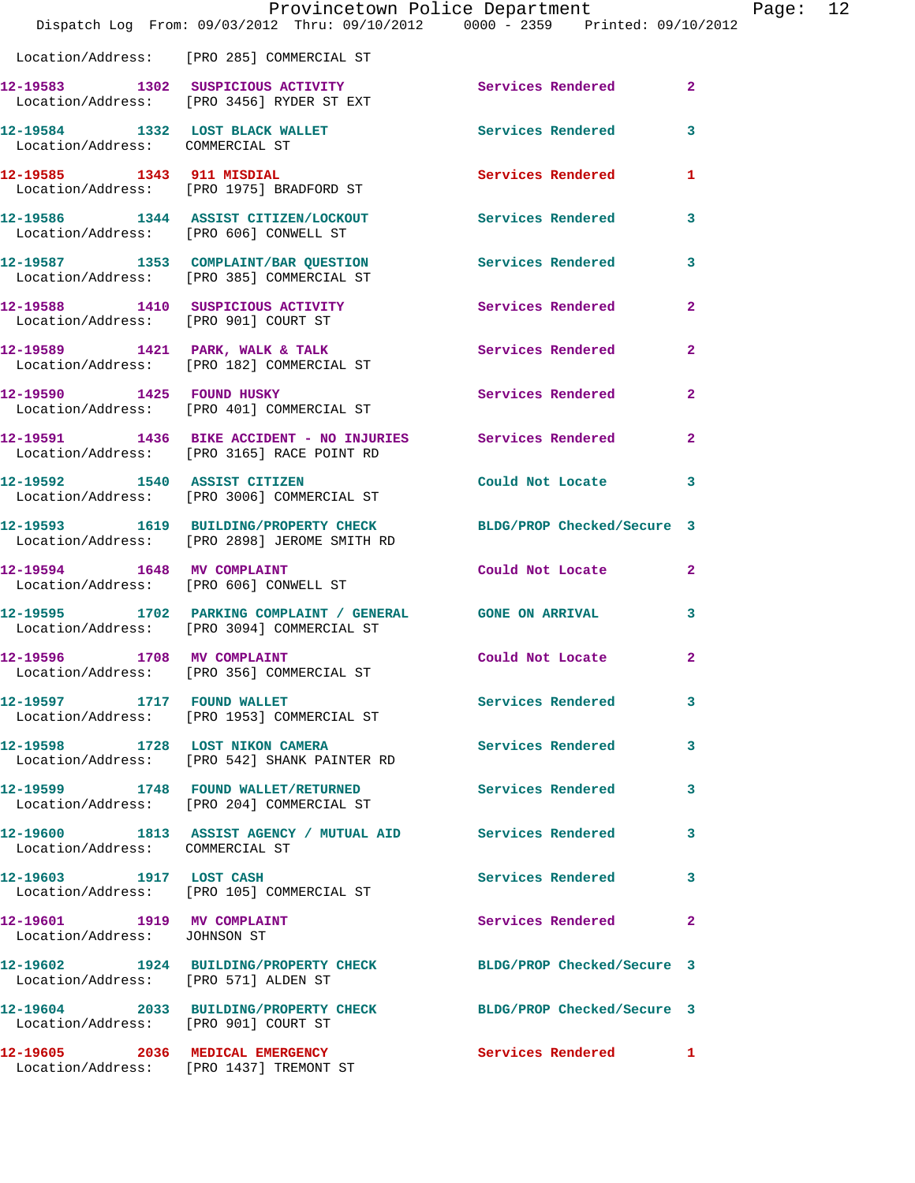|                                                            | Provincetown Police Department                                                                            | Dispatch Log From: 09/03/2012 Thru: 09/10/2012 0000 - 2359 Printed: 09/10/2012 |                |
|------------------------------------------------------------|-----------------------------------------------------------------------------------------------------------|--------------------------------------------------------------------------------|----------------|
|                                                            | Location/Address: [PRO 285] COMMERCIAL ST                                                                 |                                                                                |                |
|                                                            | 12-19583 1302 SUSPICIOUS ACTIVITY<br>Location/Address: [PRO 3456] RYDER ST EXT                            | Services Rendered                                                              | $\overline{2}$ |
| Location/Address: COMMERCIAL ST                            | 12-19584 1332 LOST BLACK WALLET                                                                           | Services Rendered                                                              | 3              |
| 12-19585 1343 911 MISDIAL                                  | Location/Address: [PRO 1975] BRADFORD ST                                                                  | <b>Services Rendered</b>                                                       | 1              |
| Location/Address: [PRO 606] CONWELL ST                     | 12-19586 1344 ASSIST CITIZEN/LOCKOUT                                                                      | <b>Services Rendered</b>                                                       | 3              |
|                                                            | 12-19587              1353    COMPLAINT/BAR QUESTION<br>Location/Address:     [PRO 385] COMMERCIAL ST     | <b>Services Rendered</b>                                                       | 3              |
| Location/Address: [PRO 901] COURT ST                       | 12-19588 1410 SUSPICIOUS ACTIVITY                                                                         | <b>Services Rendered</b>                                                       | $\mathbf{2}$   |
|                                                            | 12-19589 1421 PARK, WALK & TALK<br>Location/Address: [PRO 182] COMMERCIAL ST                              | <b>Services Rendered</b>                                                       | $\overline{2}$ |
|                                                            | 12-19590 1425 FOUND HUSKY<br>Location/Address: [PRO 401] COMMERCIAL ST                                    | Services Rendered                                                              | $\mathbf{2}$   |
|                                                            | 12-19591 1436 BIKE ACCIDENT - NO INJURIES Services Rendered<br>Location/Address: [PRO 3165] RACE POINT RD |                                                                                | $\overline{a}$ |
|                                                            | 12-19592 1540 ASSIST CITIZEN<br>Location/Address: [PRO 3006] COMMERCIAL ST                                | Could Not Locate                                                               | 3              |
|                                                            | Location/Address: [PRO 2898] JEROME SMITH RD                                                              | 12-19593 1619 BUILDING/PROPERTY CHECK BLDG/PROP Checked/Secure 3               |                |
|                                                            | 12-19594 1648 MV COMPLAINT<br>Location/Address: [PRO 606] CONWELL ST                                      | Could Not Locate                                                               | 2              |
|                                                            | 12-19595 1702 PARKING COMPLAINT / GENERAL GONE ON ARRIVAL<br>Location/Address: [PRO 3094] COMMERCIAL ST   |                                                                                | 3              |
| 12-19596                                                   | 1708 MV COMPLAINT<br>Location/Address: [PRO 356] COMMERCIAL ST                                            | Could Not Locate                                                               | $\mathbf{2}$   |
| 12-19597 1717 FOUND WALLET                                 | Location/Address: [PRO 1953] COMMERCIAL ST                                                                | <b>Services Rendered</b>                                                       | 3              |
| 12-19598 1728 LOST NIKON CAMERA                            | Location/Address: [PRO 542] SHANK PAINTER RD                                                              | <b>Services Rendered</b>                                                       | 3              |
|                                                            | 12-19599 1748 FOUND WALLET/RETURNED<br>Location/Address: [PRO 204] COMMERCIAL ST                          | <b>Services Rendered</b>                                                       | 3              |
| Location/Address: COMMERCIAL ST                            | 12-19600 1813 ASSIST AGENCY / MUTUAL AID Services Rendered                                                |                                                                                | 3.             |
| 12-19603 1917 LOST CASH                                    | Location/Address: [PRO 105] COMMERCIAL ST                                                                 | Services Rendered                                                              | 3              |
| 12-19601 1919 MV COMPLAINT<br>Location/Address: JOHNSON ST |                                                                                                           | Services Rendered                                                              | 2              |
| Location/Address: [PRO 571] ALDEN ST                       | 12-19602 1924 BUILDING/PROPERTY CHECK                                                                     | BLDG/PROP Checked/Secure 3                                                     |                |
| Location/Address: [PRO 901] COURT ST                       | 12-19604 2033 BUILDING/PROPERTY CHECK                                                                     | BLDG/PROP Checked/Secure 3                                                     |                |
|                                                            | 12-19605 2036 MEDICAL EMERGENCY<br>Location/Address: [PRO 1437] TREMONT ST                                | Services Rendered                                                              | 1              |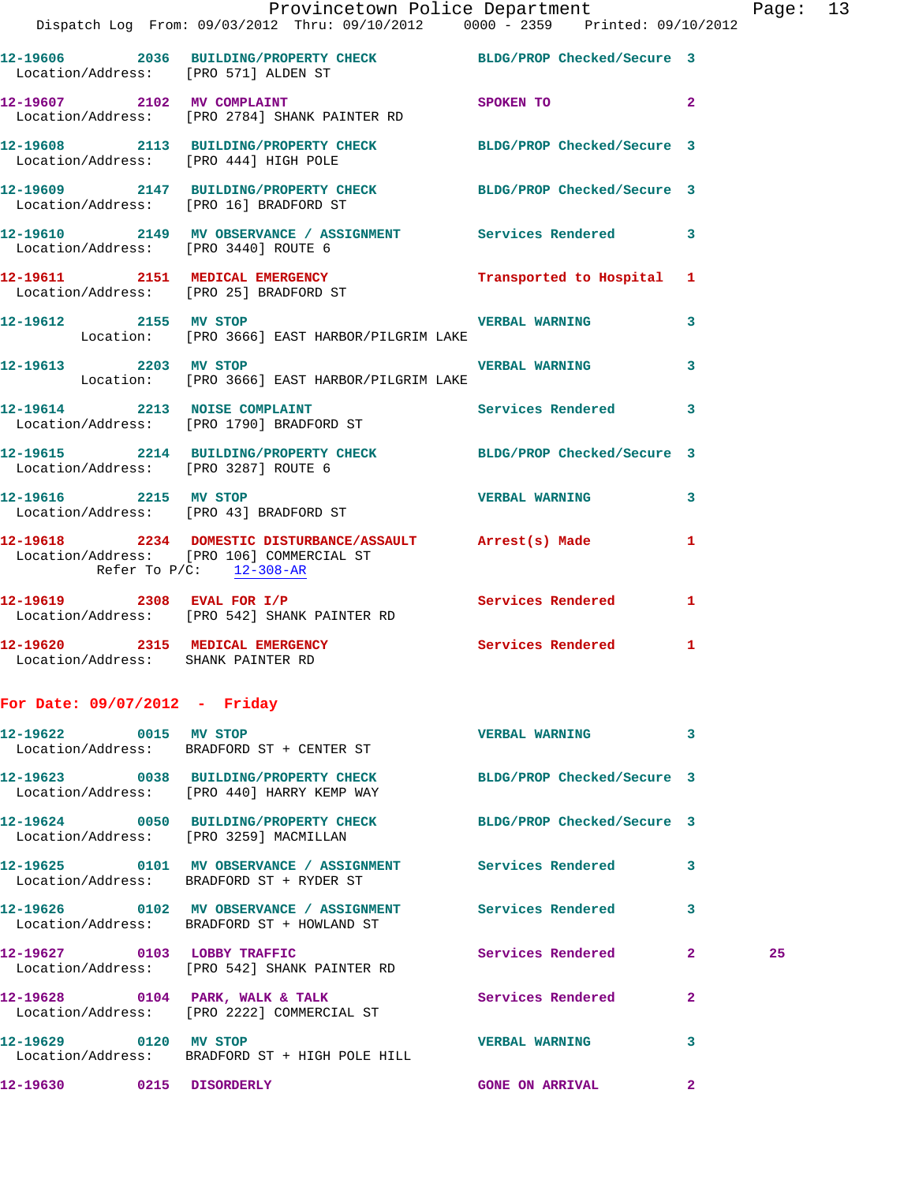|                                                                       | Provincetown Police Department                                                                                                         |                            |                         | Page: 13 |  |
|-----------------------------------------------------------------------|----------------------------------------------------------------------------------------------------------------------------------------|----------------------------|-------------------------|----------|--|
|                                                                       | Dispatch Log From: 09/03/2012 Thru: 09/10/2012 0000 - 2359 Printed: 09/10/2012                                                         |                            |                         |          |  |
|                                                                       | 12-19606 2036 BUILDING/PROPERTY CHECK BLDG/PROP Checked/Secure 3<br>Location/Address: [PRO 571] ALDEN ST                               |                            |                         |          |  |
|                                                                       | 12-19607 2102 MV COMPLAINT SPOKEN TO<br>Location/Address: [PRO 2784] SHANK PAINTER RD                                                  |                            | $\overline{\mathbf{2}}$ |          |  |
| Location/Address: [PRO 444] HIGH POLE                                 | 12-19608 2113 BUILDING/PROPERTY CHECK BLDG/PROP Checked/Secure 3                                                                       |                            |                         |          |  |
| Location/Address: [PRO 16] BRADFORD ST                                | 12-19609 2147 BUILDING/PROPERTY CHECK BLDG/PROP Checked/Secure 3                                                                       |                            |                         |          |  |
| Location/Address: [PRO 3440] ROUTE 6                                  | 12-19610 2149 MV OBSERVANCE / ASSIGNMENT Services Rendered 3                                                                           |                            |                         |          |  |
| Location/Address: [PRO 25] BRADFORD ST                                | 12-19611 2151 MEDICAL EMERGENCY                                                                                                        | Transported to Hospital 1  |                         |          |  |
| 12-19612 2155 MV STOP                                                 | Location: [PRO 3666] EAST HARBOR/PILGRIM LAKE                                                                                          | <b>VERBAL WARNING</b> 3    |                         |          |  |
|                                                                       | 12-19613 2203 MV STOP<br>Location: [PRO 3666] EAST HARBOR/PILGRIM LAKE                                                                 |                            | $\mathbf{3}$            |          |  |
|                                                                       | 12-19614 2213 NOISE COMPLAINT Services Rendered 3<br>Location/Address: [PRO 1790] BRADFORD ST                                          |                            |                         |          |  |
| Location/Address: [PRO 3287] ROUTE 6                                  | 12-19615 2214 BUILDING/PROPERTY CHECK BLDG/PROP Checked/Secure 3                                                                       |                            |                         |          |  |
|                                                                       | 12-19616 2215 MV STOP<br>Location/Address: [PRO 43] BRADFORD ST                                                                        | <b>VERBAL WARNING</b>      | $\mathbf{3}$            |          |  |
|                                                                       | 12-19618 2234 DOMESTIC DISTURBANCE/ASSAULT Arrest(s) Made 1<br>Location/Address: [PRO 106] COMMERCIAL ST<br>Refer To $P/C$ : 12-308-AR |                            |                         |          |  |
|                                                                       | 12-19619 2308 EVAL FOR I/P Services Rendered<br>Location/Address: [PRO 542] SHANK PAINTER RD                                           |                            | 1                       |          |  |
| 12-19620 2315 MEDICAL EMERGENCY<br>Location/Address: SHANK PAINTER RD |                                                                                                                                        | Services Rendered 1        |                         |          |  |
| For Date: 09/07/2012 - Friday                                         |                                                                                                                                        |                            |                         |          |  |
|                                                                       | Location/Address: BRADFORD ST + CENTER ST                                                                                              | <b>VERBAL WARNING</b>      | 3                       |          |  |
|                                                                       | 12-19623 0038 BUILDING/PROPERTY CHECK<br>Location/Address: [PRO 440] HARRY KEMP WAY                                                    | BLDG/PROP Checked/Secure 3 |                         |          |  |
| 12-19624                                                              | 0050 BUILDING/PROPERTY CHECK                                                                                                           | BLDG/PROP Checked/Secure 3 |                         |          |  |

 Location/Address: [PRO 3259] MACMILLAN **12-19625 0101 MV OBSERVANCE / ASSIGNMENT Services Rendered 3**  Location/Address: BRADFORD ST + RYDER ST **12-19626 0102 MV OBSERVANCE / ASSIGNMENT Services Rendered 3**  Location/Address: BRADFORD ST + HOWLAND ST **12-19627 0103 LOBBY TRAFFIC Services Rendered 2 25**  Location/Address: [PRO 542] SHANK PAINTER RD **12-19628 0104 PARK, WALK & TALK Services Rendered 2**  Location/Address: [PRO 2222] COMMERCIAL ST **12-19629 0120 MV STOP VERBAL WARNING 3**  Location/Address: BRADFORD ST + HIGH POLE HILL

**12-19630 0215 DISORDERLY GONE ON ARRIVAL 2**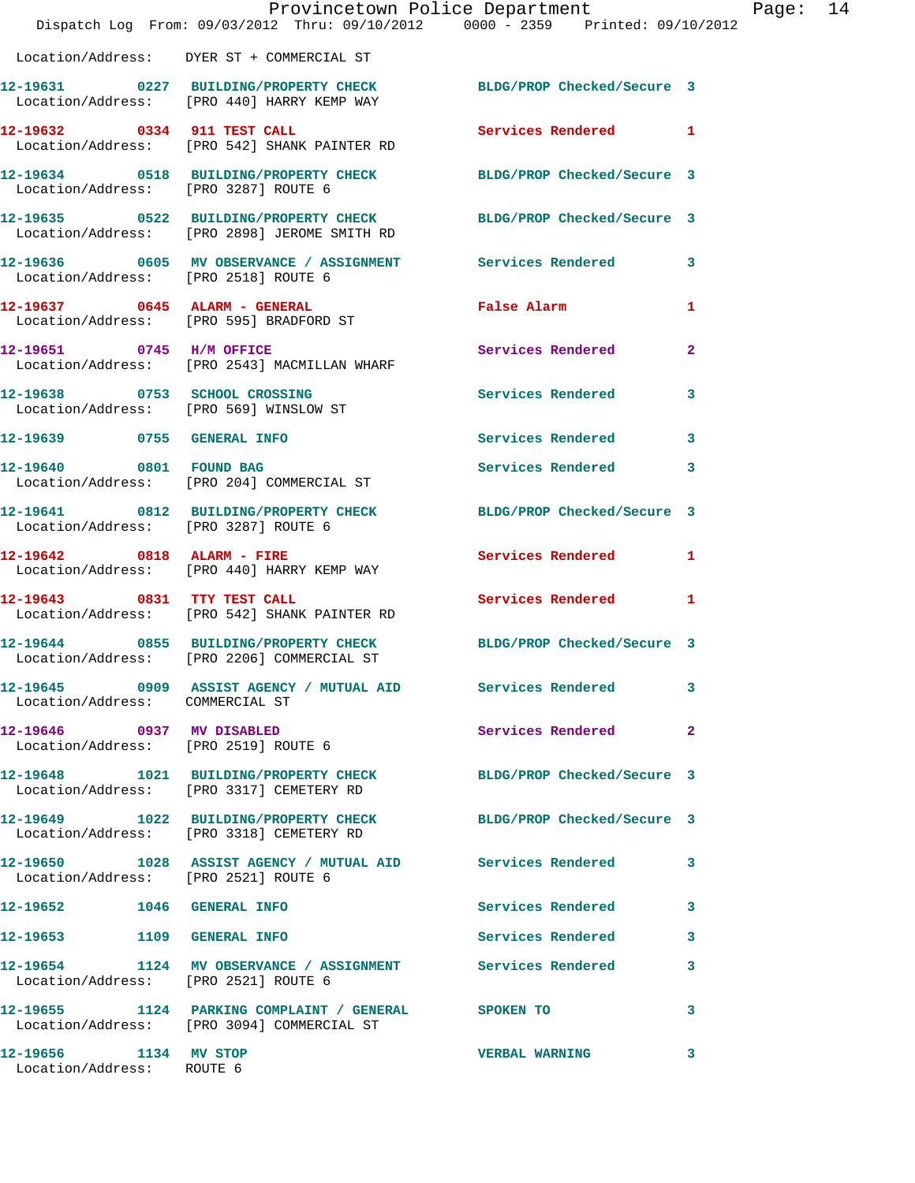|                                                    | Provincetown Police Department<br>Dispatch Log From: 09/03/2012 Thru: 09/10/2012 0000 - 2359 Printed: 09/10/2012 |                            |   |
|----------------------------------------------------|------------------------------------------------------------------------------------------------------------------|----------------------------|---|
|                                                    | Location/Address: DYER ST + COMMERCIAL ST                                                                        |                            |   |
|                                                    | 12-19631 0227 BUILDING/PROPERTY CHECK BLDG/PROP Checked/Secure 3<br>Location/Address: [PRO 440] HARRY KEMP WAY   |                            |   |
| 12-19632 0334 911 TEST CALL                        | Location/Address: [PRO 542] SHANK PAINTER RD                                                                     | Services Rendered          | 1 |
|                                                    | 12-19634 0518 BUILDING/PROPERTY CHECK BLDG/PROP Checked/Secure 3<br>Location/Address: [PRO 3287] ROUTE 6         |                            |   |
|                                                    | 12-19635 0522 BUILDING/PROPERTY CHECK<br>Location/Address: [PRO 2898] JEROME SMITH RD                            | BLDG/PROP Checked/Secure 3 |   |
| Location/Address: [PRO 2518] ROUTE 6               | 12-19636 605 MV OBSERVANCE / ASSIGNMENT Services Rendered                                                        |                            | 3 |
|                                                    | 12-19637 0645 ALARM - GENERAL<br>Location/Address: [PRO 595] BRADFORD ST                                         | <b>False Alarm</b>         | 1 |
|                                                    | 12-19651 0745 H/M OFFICE<br>Location/Address: [PRO 2543] MACMILLAN WHARF                                         | <b>Services Rendered</b>   | 2 |
| 12-19638 0753 SCHOOL CROSSING                      | Location/Address: [PRO 569] WINSLOW ST                                                                           | <b>Services Rendered</b>   | 3 |
| 12-19639 0755 GENERAL INFO                         |                                                                                                                  | <b>Services Rendered</b>   | 3 |
|                                                    | 12-19640 0801 FOUND BAG<br>Location/Address: [PRO 204] COMMERCIAL ST                                             | Services Rendered          | 3 |
| Location/Address: [PRO 3287] ROUTE 6               | 12-19641 0812 BUILDING/PROPERTY CHECK                                                                            | BLDG/PROP Checked/Secure 3 |   |
| 12-19642 0818 ALARM - FIRE                         | Location/Address: [PRO 440] HARRY KEMP WAY                                                                       | Services Rendered          | 1 |
| 12-19643 0831 TTY TEST CALL                        | Location/Address: [PRO 542] SHANK PAINTER RD                                                                     | <b>Services Rendered</b>   | 1 |
|                                                    | 12-19644 0855 BUILDING/PROPERTY CHECK BLDG/PROP Checked/Secure 3<br>Location/Address: [PRO 2206] COMMERCIAL ST   |                            |   |
| Location/Address: COMMERCIAL ST                    | 12-19645 0909 ASSIST AGENCY / MUTUAL AID Services Rendered                                                       |                            | 3 |
| 12-19646 0937 MV DISABLED                          | Location/Address: [PRO 2519] ROUTE 6                                                                             | Services Rendered          | 2 |
|                                                    | 12-19648 1021 BUILDING/PROPERTY CHECK<br>Location/Address: [PRO 3317] CEMETERY RD                                | BLDG/PROP Checked/Secure 3 |   |
|                                                    | 12-19649 1022 BUILDING/PROPERTY CHECK<br>Location/Address: [PRO 3318] CEMETERY RD                                | BLDG/PROP Checked/Secure 3 |   |
| Location/Address: [PRO 2521] ROUTE 6               | 12-19650 1028 ASSIST AGENCY / MUTUAL AID Services Rendered                                                       |                            | 3 |
| 12-19652 1046 GENERAL INFO                         |                                                                                                                  | <b>Services Rendered</b>   | 3 |
| 12-19653 1109 GENERAL INFO                         |                                                                                                                  | Services Rendered          | 3 |
| Location/Address: [PRO 2521] ROUTE 6               | 12-19654 1124 MV OBSERVANCE / ASSIGNMENT Services Rendered                                                       |                            | 3 |
|                                                    | 12-19655 1124 PARKING COMPLAINT / GENERAL SPOKEN TO<br>Location/Address: [PRO 3094] COMMERCIAL ST                |                            | 3 |
| 12-19656 1134 MV STOP<br>Location/Address: ROUTE 6 |                                                                                                                  | <b>VERBAL WARNING</b>      | з |

Page:  $14$ <br> $2^{12}$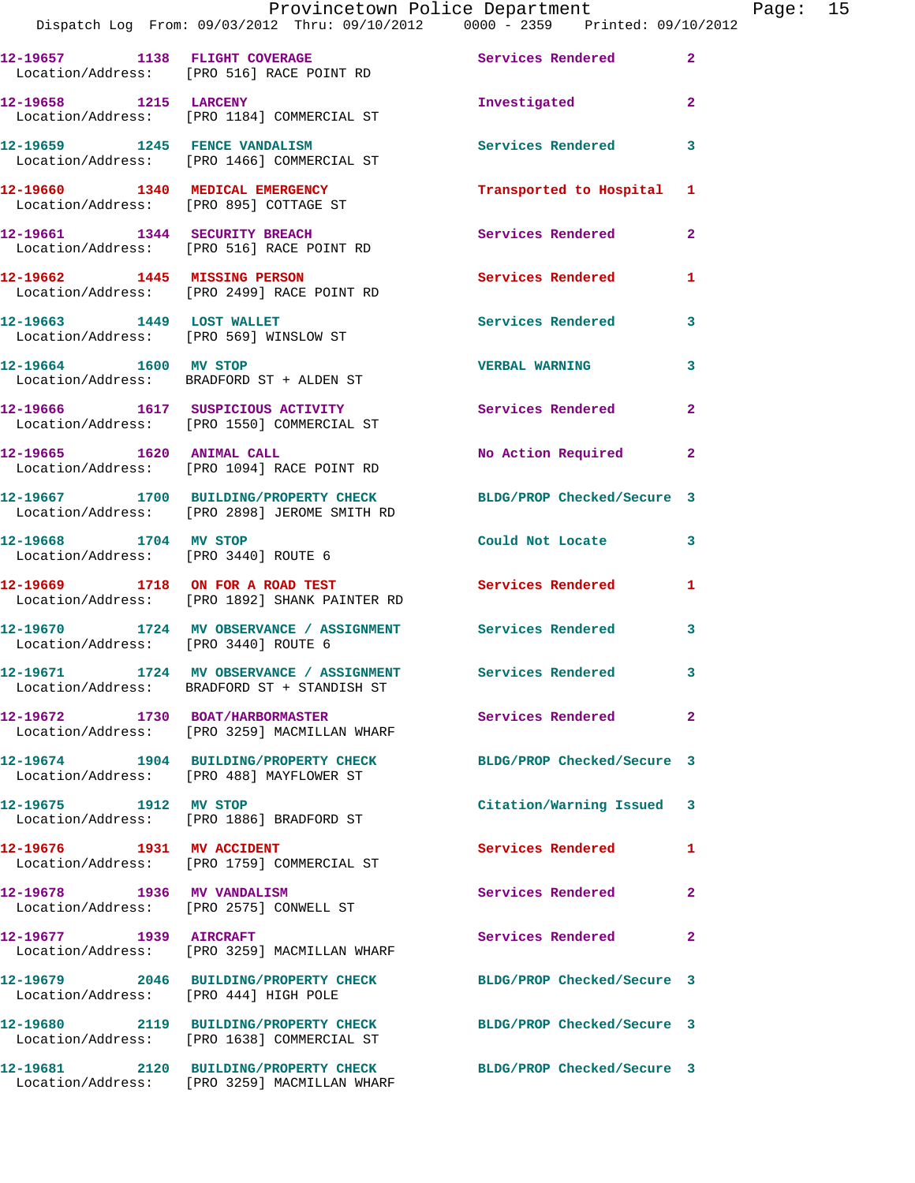|                                                                           | DISPACCII DOG FIOM. 02/03/2012 INIA. 02/10/2012                                                           |                                        |                         |
|---------------------------------------------------------------------------|-----------------------------------------------------------------------------------------------------------|----------------------------------------|-------------------------|
|                                                                           | 12-19657 1138 FLIGHT COVERAGE<br>Location/Address: [PRO 516] RACE POINT RD                                | <b>Services Rendered 22 Services</b> 2 |                         |
| 12-19658 1215 LARCENY                                                     | Location/Address: [PRO 1184] COMMERCIAL ST                                                                | Investigated                           | $\mathbf{2}$            |
| 12-19659 1245 FENCE VANDALISM                                             | Location/Address: [PRO 1466] COMMERCIAL ST                                                                | Services Rendered 3                    |                         |
| 12-19660 1340 MEDICAL EMERGENCY<br>Location/Address: [PRO 895] COTTAGE ST |                                                                                                           | Transported to Hospital 1              |                         |
| 12-19661 1344 SECURITY BREACH                                             | Location/Address: [PRO 516] RACE POINT RD                                                                 | Services Rendered                      | $\mathbf{2}$            |
|                                                                           | 12-19662 1445 MISSING PERSON<br>Location/Address: [PRO 2499] RACE POINT RD                                | <b>Services Rendered</b>               | 1                       |
| 12-19663 1449 LOST WALLET                                                 | Location/Address: [PRO 569] WINSLOW ST                                                                    | <b>Services Rendered</b>               | 3                       |
| 12-19664 1600 MV STOP                                                     | Location/Address: BRADFORD ST + ALDEN ST                                                                  | <b>VERBAL WARNING</b>                  | 3                       |
|                                                                           | 12-19666 1617 SUSPICIOUS ACTIVITY<br>Location/Address: [PRO 1550] COMMERCIAL ST                           | <b>Services Rendered</b>               | $\mathbf{2}$            |
| 12-19665 1620 ANIMAL CALL                                                 | Location/Address: [PRO 1094] RACE POINT RD                                                                | No Action Required 2                   |                         |
|                                                                           | 12-19667 1700 BUILDING/PROPERTY CHECK<br>Location/Address: [PRO 2898] JEROME SMITH RD                     | BLDG/PROP Checked/Secure 3             |                         |
| 12-19668 1704 MV STOP<br>Location/Address: [PRO 3440] ROUTE 6             |                                                                                                           | Could Not Locate                       | $\overline{\mathbf{3}}$ |
|                                                                           | 12-19669 1718 ON FOR A ROAD TEST<br>Location/Address: [PRO 1892] SHANK PAINTER RD                         | Services Rendered                      | 1                       |
| Location/Address: [PRO 3440] ROUTE 6                                      | 12-19670 1724 MV OBSERVANCE / ASSIGNMENT Services Rendered                                                |                                        | $\mathbf{3}$            |
|                                                                           | 12-19671 1724 MV OBSERVANCE / ASSIGNMENT Services Rendered<br>Location/Address: BRADFORD ST + STANDISH ST |                                        | 3                       |
|                                                                           | Location/Address: [PRO 3259] MACMILLAN WHARF                                                              | Services Rendered                      | $\mathbf{2}$            |
|                                                                           | 12-19674 1904 BUILDING/PROPERTY CHECK<br>Location/Address: [PRO 488] MAYFLOWER ST                         | BLDG/PROP Checked/Secure 3             |                         |
| 12-19675 1912 MV STOP                                                     | Location/Address: [PRO 1886] BRADFORD ST                                                                  | Citation/Warning Issued 3              |                         |
| 12-19676 1931 MV ACCIDENT                                                 | Location/Address: [PRO 1759] COMMERCIAL ST                                                                | <b>Services Rendered</b>               | 1                       |
| 12-19678 1936 MV VANDALISM                                                | Location/Address: [PRO 2575] CONWELL ST                                                                   | Services Rendered                      | $\overline{\mathbf{2}}$ |
| 12-19677 1939 AIRCRAFT                                                    | Location/Address: [PRO 3259] MACMILLAN WHARF                                                              | Services Rendered                      | $\mathbf{2}$            |
| Location/Address: [PRO 444] HIGH POLE                                     | 12-19679 2046 BUILDING/PROPERTY CHECK                                                                     | BLDG/PROP Checked/Secure 3             |                         |
|                                                                           | 12-19680 2119 BUILDING/PROPERTY CHECK<br>Location/Address: [PRO 1638] COMMERCIAL ST                       | BLDG/PROP Checked/Secure 3             |                         |
|                                                                           | 12-19681 2120 BUILDING/PROPERTY CHECK<br>Location/Address: [PRO 3259] MACMILLAN WHARF                     | BLDG/PROP Checked/Secure 3             |                         |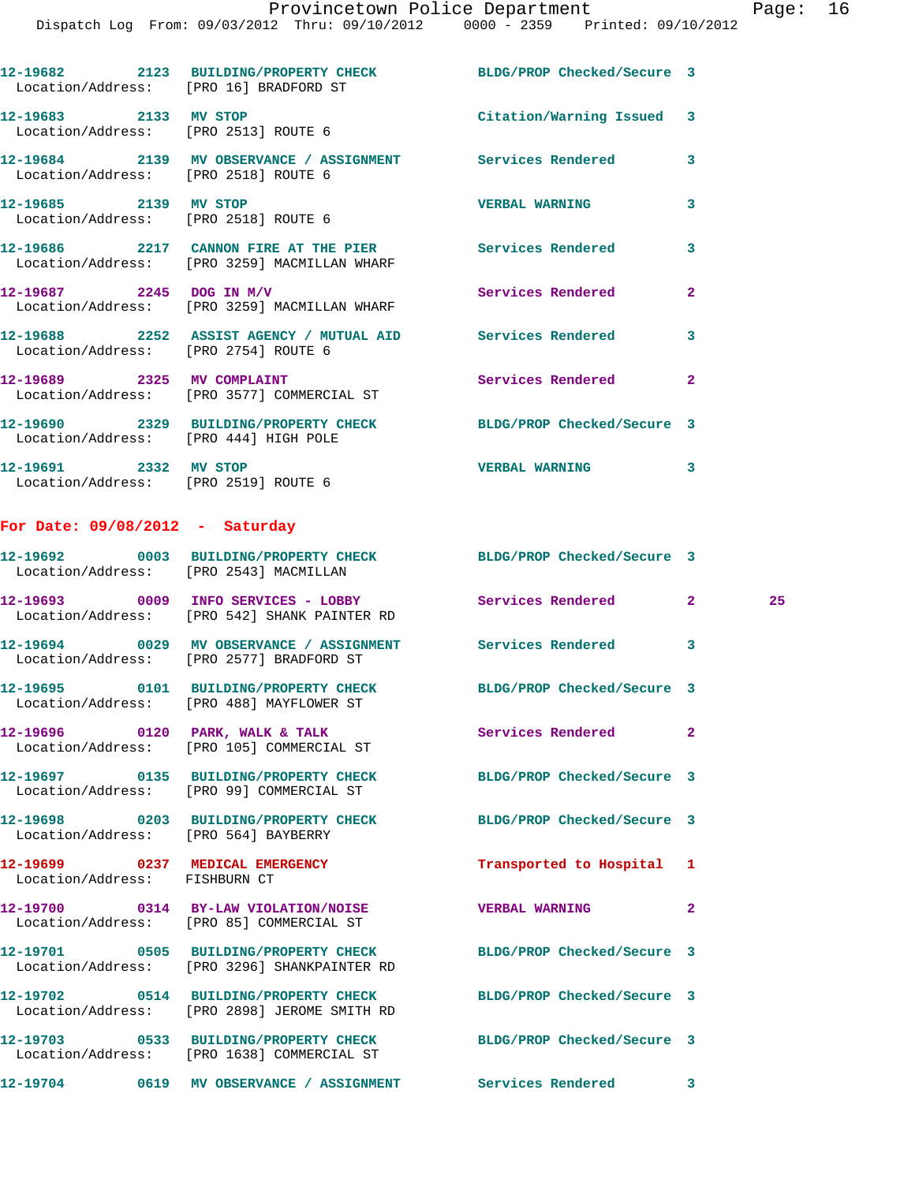|                            | 12-19682 2123 BUILDING/PROPERTY CHECK BLDG/PROP Checked/Secure 3<br>Location/Address: [PRO 16] BRADFORD ST |                           |                |
|----------------------------|------------------------------------------------------------------------------------------------------------|---------------------------|----------------|
| 12-19683 2133 MV STOP      | Location/Address: [PRO 2513] ROUTE 6                                                                       | Citation/Warning Issued 3 |                |
|                            | Location/Address: [PRO 2518] ROUTE 6                                                                       |                           | $\mathbf{3}$   |
| 12-19685 2139 MV STOP      | Location/Address: [PRO 2518] ROUTE 6                                                                       | <b>VERBAL WARNING</b>     | 3              |
|                            | 12-19686  2217  CANNON FIRE AT THE PIER Services Rendered<br>Location/Address: [PRO 3259] MACMILLAN WHARF  |                           | 3              |
|                            | 12-19687 2245 DOG IN M/V<br>Location/Address: [PRO 3259] MACMILLAN WHARF                                   | Services Rendered         | $\overline{2}$ |
|                            | Location/Address: [PRO 2754] ROUTE 6                                                                       |                           | 3              |
| 12-19689 2325 MV COMPLAINT | Location/Address: [PRO 3577] COMMERCIAL ST                                                                 | Services Rendered         | $\overline{2}$ |
|                            | 12-19690 2329 BUILDING/PROPERTY CHECK BLDG/PROP Checked/Secure 3<br>Location/Address: [PRO 444] HIGH POLE  |                           |                |

**12-19691 2332 MV STOP VERBAL WARNING 3**  Location/Address: [PRO 2519] ROUTE 6

## **For Date: 09/08/2012 - Saturday**

| Location/Address: [PRO 2543] MACMILLAN                           | 12-19692 0003 BUILDING/PROPERTY CHECK BLDG/PROP Checked/Secure 3                                             |                            |                |    |
|------------------------------------------------------------------|--------------------------------------------------------------------------------------------------------------|----------------------------|----------------|----|
|                                                                  | Location/Address: [PRO 542] SHANK PAINTER RD                                                                 |                            | $\overline{2}$ | 25 |
|                                                                  | 12-19694 0029 MV OBSERVANCE / ASSIGNMENT Services Rendered<br>Location/Address: [PRO 2577] BRADFORD ST       |                            | 3              |    |
|                                                                  | 12-19695 0101 BUILDING/PROPERTY CHECK BLDG/PROP Checked/Secure 3<br>Location/Address: [PRO 488] MAYFLOWER ST |                            |                |    |
|                                                                  | 12-19696 0120 PARK, WALK & TALK<br>Location/Address: [PRO 105] COMMERCIAL ST                                 | <b>Services Rendered</b>   | $\mathbf{2}$   |    |
|                                                                  | 12-19697 0135 BUILDING/PROPERTY CHECK<br>Location/Address: [PRO 99] COMMERCIAL ST                            | BLDG/PROP Checked/Secure 3 |                |    |
| Location/Address: [PRO 564] BAYBERRY                             | 12-19698 0203 BUILDING/PROPERTY CHECK                                                                        | BLDG/PROP Checked/Secure 3 |                |    |
| 12-19699 0237 MEDICAL EMERGENCY<br>Location/Address: FISHBURN CT |                                                                                                              | Transported to Hospital 1  |                |    |
|                                                                  | 12-19700 0314 BY-LAW VIOLATION/NOISE<br>Location/Address: [PRO 85] COMMERCIAL ST                             | <b>VERBAL WARNING</b>      | $\mathbf{2}$   |    |
|                                                                  | 12-19701 0505 BUILDING/PROPERTY CHECK<br>Location/Address: [PRO 3296] SHANKPAINTER RD                        | BLDG/PROP Checked/Secure 3 |                |    |
|                                                                  | 12-19702 0514 BUILDING/PROPERTY CHECK<br>Location/Address: [PRO 2898] JEROME SMITH RD                        | BLDG/PROP Checked/Secure 3 |                |    |
|                                                                  | 12-19703 0533 BUILDING/PROPERTY CHECK<br>Location/Address: [PRO 1638] COMMERCIAL ST                          | BLDG/PROP Checked/Secure 3 |                |    |
|                                                                  | 12-19704 0619 MV OBSERVANCE / ASSIGNMENT Services Rendered                                                   |                            | 3              |    |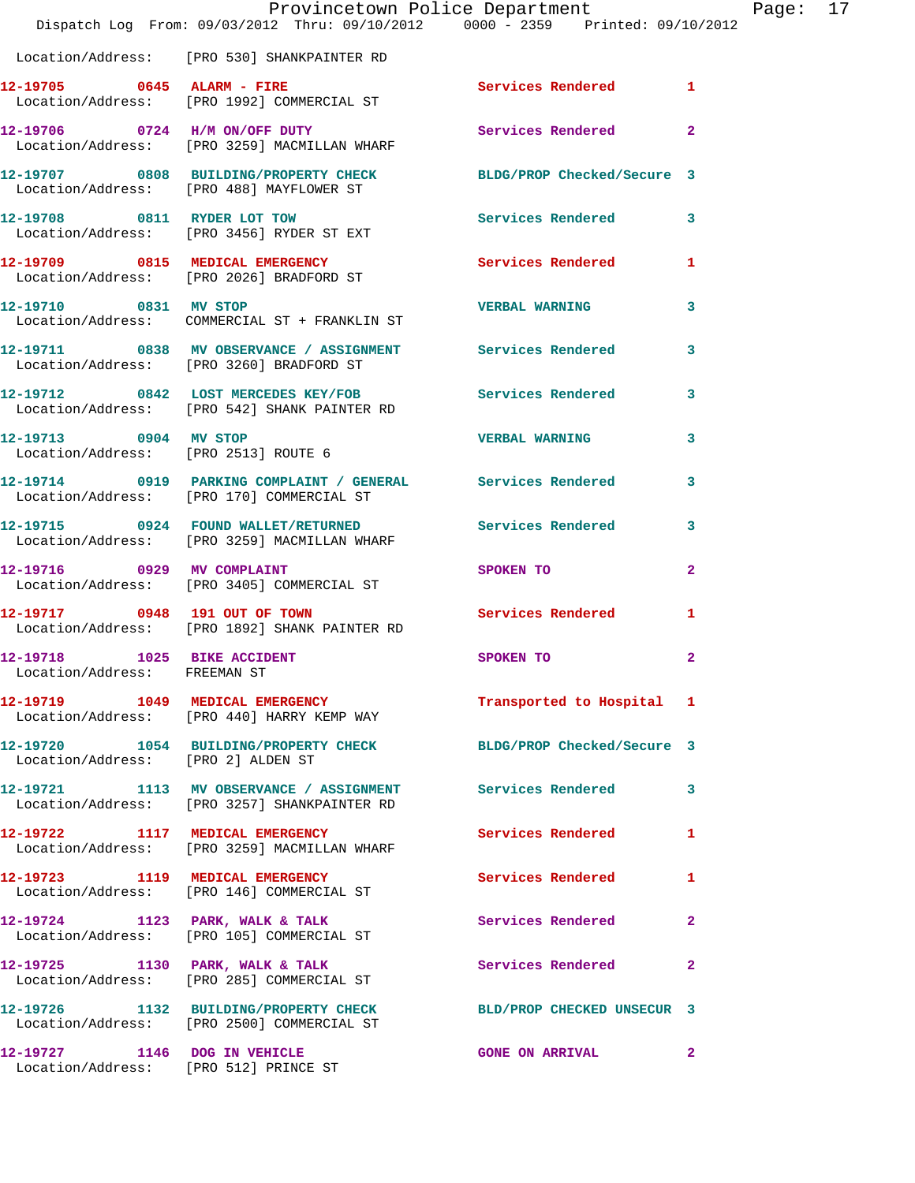|                                    | Dispatch Log From: 09/03/2012 Thru: 09/10/2012 0000 - 2359 Printed: 09/10/2012                                 | Provincetown Police Department                                                                                  |                         | Page: 17 |  |
|------------------------------------|----------------------------------------------------------------------------------------------------------------|-----------------------------------------------------------------------------------------------------------------|-------------------------|----------|--|
|                                    | Location/Address: [PRO 530] SHANKPAINTER RD                                                                    |                                                                                                                 |                         |          |  |
|                                    | 12-19705 0645 ALARM - FIRE<br>Location/Address: [PRO 1992] COMMERCIAL ST                                       | Services Rendered 1                                                                                             |                         |          |  |
|                                    | 12-19706 0724 H/M ON/OFF DUTY<br>Location/Address: [PRO 3259] MACMILLAN WHARF                                  | Services Rendered 2                                                                                             |                         |          |  |
|                                    | 12-19707 0808 BUILDING/PROPERTY CHECK BLDG/PROP Checked/Secure 3<br>Location/Address: [PRO 488] MAYFLOWER ST   |                                                                                                                 |                         |          |  |
|                                    | 12-19708 0811 RYDER LOT TOW<br>Location/Address: [PRO 3456] RYDER ST EXT                                       | Services Rendered 3                                                                                             |                         |          |  |
|                                    | 12-19709 0815 MEDICAL EMERGENCY Services Rendered 1<br>Location/Address: [PRO 2026] BRADFORD ST                |                                                                                                                 |                         |          |  |
|                                    | 12-19710 0831 MV STOP<br>Location/Address: COMMERCIAL ST + FRANKLIN ST                                         | <b>VERBAL WARNING</b>                                                                                           | $\overline{\mathbf{3}}$ |          |  |
|                                    | 12-19711 0838 MV OBSERVANCE / ASSIGNMENT Services Rendered 3<br>Location/Address: [PRO 3260] BRADFORD ST       |                                                                                                                 |                         |          |  |
|                                    | 12-19712 0842 LOST MERCEDES KEY/FOB Services Rendered 3<br>Location/Address: [PRO 542] SHANK PAINTER RD        |                                                                                                                 |                         |          |  |
| 12-19713 0904 MV STOP              | Location/Address: [PRO 2513] ROUTE 6                                                                           | VERBAL WARNING                                                                                                  | $\mathbf{3}$            |          |  |
|                                    | 12-19714 0919 PARKING COMPLAINT / GENERAL Services Rendered 3<br>Location/Address: [PRO 170] COMMERCIAL ST     |                                                                                                                 |                         |          |  |
|                                    | 12-19715 0924 FOUND WALLET/RETURNED Services Rendered<br>Location/Address: [PRO 3259] MACMILLAN WHARF          |                                                                                                                 | $\mathbf{3}$            |          |  |
|                                    | 12-19716 0929 MV COMPLAINT<br>Location/Address: [PRO 3405] COMMERCIAL ST                                       | SPOKEN TO THE STRIKE STRIKE STRIKE STRIKE STRIKE STRIKE STRIKE STRIKE STRIKE STRIKE STRIKE STRIKE STRIKE STRIKE | $\mathbf{2}$            |          |  |
|                                    | 12-19717 0948 191 OUT OF TOWN<br>Location/Address: [PRO 1892] SHANK PAINTER RD                                 | Services Rendered                                                                                               | $\mathbf{1}$            |          |  |
| Location/Address: FREEMAN ST       | 12-19718 1025 BIKE ACCIDENT                                                                                    | SPOKEN TO                                                                                                       | $\overline{2}$          |          |  |
|                                    | 12-19719 1049 MEDICAL EMERGENCY Transported to Hospital 1<br>Location/Address: [PRO 440] HARRY KEMP WAY        |                                                                                                                 |                         |          |  |
| Location/Address: [PRO 2] ALDEN ST | 12-19720 1054 BUILDING/PROPERTY CHECK BLDG/PROP Checked/Secure 3                                               |                                                                                                                 |                         |          |  |
|                                    | 12-19721 1113 MV OBSERVANCE / ASSIGNMENT Services Rendered 3<br>Location/Address: [PRO 3257] SHANKPAINTER RD   |                                                                                                                 |                         |          |  |
|                                    | 12-19722 1117 MEDICAL EMERGENCY<br>Location/Address: [PRO 3259] MACMILLAN WHARF                                | Services Rendered                                                                                               | $\mathbf{1}$            |          |  |
|                                    | 12-19723 1119 MEDICAL EMERGENCY<br>Location/Address: [PRO 146] COMMERCIAL ST                                   | Services Rendered 1                                                                                             |                         |          |  |
|                                    | 12-19724 1123 PARK, WALK & TALK<br>Location/Address: [PRO 105] COMMERCIAL ST                                   | Services Rendered                                                                                               | $\mathbf{2}$            |          |  |
|                                    | 12-19725 1130 PARK, WALK & TALK<br>Location/Address: [PRO 285] COMMERCIAL ST                                   | Services Rendered                                                                                               | $\mathbf{2}$            |          |  |
|                                    | 12-19726 1132 BUILDING/PROPERTY CHECK BLD/PROP CHECKED UNSECUR 3<br>Location/Address: [PRO 2500] COMMERCIAL ST |                                                                                                                 |                         |          |  |
| 12-19727 1146 DOG IN VEHICLE       | Location/Address: [PRO 512] PRINCE ST                                                                          | GONE ON ARRIVAL 2                                                                                               |                         |          |  |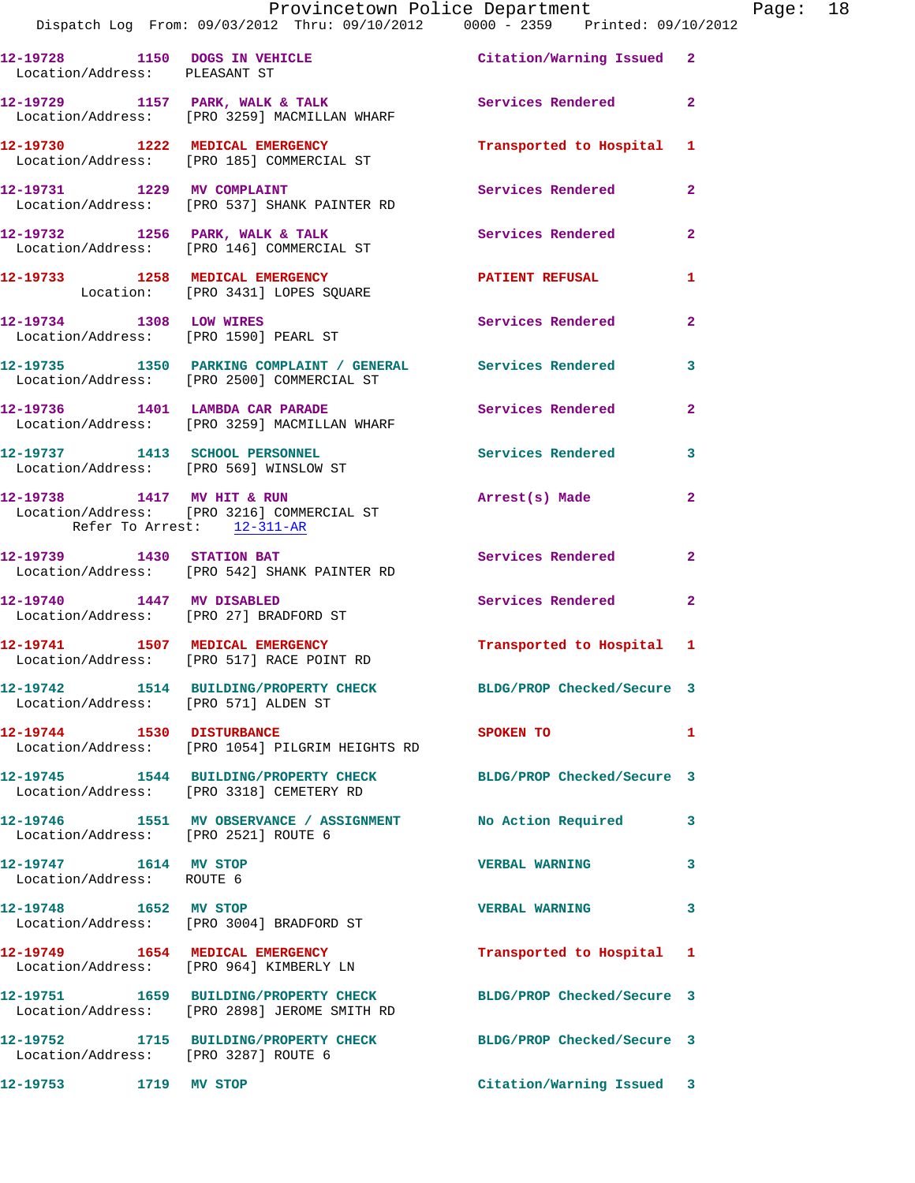| rade. |  |
|-------|--|
|       |  |

|                                                    | Dispatch Log From: 09/03/2012 Thru: 09/10/2012 0000 - 2359 Printed: 09/10/2012                                   | Provincetown Police Department Page: 18 |              |  |
|----------------------------------------------------|------------------------------------------------------------------------------------------------------------------|-----------------------------------------|--------------|--|
| Location/Address: PLEASANT ST                      | 12-19728 1150 DOGS IN VEHICLE <b>12-19728</b> Citation/Warning Issued 2                                          |                                         |              |  |
|                                                    | 12-19729 1157 PARK, WALK & TALK 1998 Services Rendered 2<br>Location/Address: [PRO 3259] MACMILLAN WHARF         |                                         |              |  |
|                                                    | 12-19730 1222 MEDICAL EMERGENCY<br>Location/Address: [PRO 185] COMMERCIAL ST                                     | Transported to Hospital 1               |              |  |
|                                                    | 12-19731 1229 MV COMPLAINT<br>Location/Address: [PRO 537] SHANK PAINTER RD                                       | Services Rendered 2                     |              |  |
|                                                    | 12-19732 1256 PARK, WALK & TALK (2008) Services Rendered 2<br>Location/Address: [PRO 146] COMMERCIAL ST          |                                         |              |  |
|                                                    | 12-19733 1258 MEDICAL EMERGENCY 1997 PATIENT REFUSAL<br>Location: [PRO 3431] LOPES SQUARE                        |                                         | $\mathbf{1}$ |  |
|                                                    | 12-19734 1308 LOW WIRES<br>Location/Address: [PRO 1590] PEARL ST                                                 | Services Rendered 2                     |              |  |
|                                                    | 12-19735 1350 PARKING COMPLAINT / GENERAL Services Rendered<br>Location/Address: [PRO 2500] COMMERCIAL ST        |                                         | 3            |  |
|                                                    | 12-19736 1401 LAMBDA CAR PARADE Services Rendered 2<br>Location/Address: [PRO 3259] MACMILLAN WHARF              |                                         |              |  |
|                                                    | 12-19737 1413 SCHOOL PERSONNEL Services Rendered<br>Location/Address: [PRO 569] WINSLOW ST                       |                                         | 3            |  |
| Refer To Arrest: 12-311-AR                         | 12-19738 1417 MV HIT & RUN<br>Location/Address: [PRO 3216] COMMERCIAL ST                                         | Arrest(s) Made                          | $\mathbf{2}$ |  |
|                                                    | 12-19739 1430 STATION BAT<br>Location/Address: [PRO 542] SHANK PAINTER RD                                        | Services Rendered                       | $\mathbf{2}$ |  |
| 12-19740   1447 MV DISABLED                        | Location/Address: [PRO 27] BRADFORD ST                                                                           | Services Rendered                       | $\mathbf{2}$ |  |
|                                                    | 12-19741 1507 MEDICAL EMERGENCY<br>Location/Address: [PRO 517] RACE POINT RD                                     | Transported to Hospital 1               |              |  |
| Location/Address: [PRO 571] ALDEN ST               | 12-19742 1514 BUILDING/PROPERTY CHECK BLDG/PROP Checked/Secure 3                                                 |                                         |              |  |
|                                                    | 12-19744 1530 DISTURBANCE<br>Location/Address: [PRO 1054] PILGRIM HEIGHTS RD                                     | SPOKEN TO                               | 1            |  |
|                                                    | 12-19745 1544 BUILDING/PROPERTY CHECK BLDG/PROP Checked/Secure 3<br>Location/Address: [PRO 3318] CEMETERY RD     |                                         |              |  |
| Location/Address: [PRO 2521] ROUTE 6               | 12-19746 1551 MV OBSERVANCE / ASSIGNMENT No Action Required 3                                                    |                                         |              |  |
| 12-19747 1614 MV STOP<br>Location/Address: ROUTE 6 |                                                                                                                  | <b>VERBAL WARNING</b>                   | 3            |  |
|                                                    | 12-19748 1652 MV STOP<br>Location/Address: [PRO 3004] BRADFORD ST                                                | <b>VERBAL WARNING</b>                   | 3            |  |
|                                                    | 12-19749 1654 MEDICAL EMERGENCY<br>Location/Address: [PRO 964] KIMBERLY LN                                       | Transported to Hospital 1               |              |  |
|                                                    | 12-19751 1659 BUILDING/PROPERTY CHECK BLDG/PROP Checked/Secure 3<br>Location/Address: [PRO 2898] JEROME SMITH RD |                                         |              |  |
| Location/Address: [PRO 3287] ROUTE 6               | 12-19752 1715 BUILDING/PROPERTY CHECK BLDG/PROP Checked/Secure 3                                                 |                                         |              |  |
| 12-19753 1719 MV STOP                              |                                                                                                                  | Citation/Warning Issued 3               |              |  |
|                                                    |                                                                                                                  |                                         |              |  |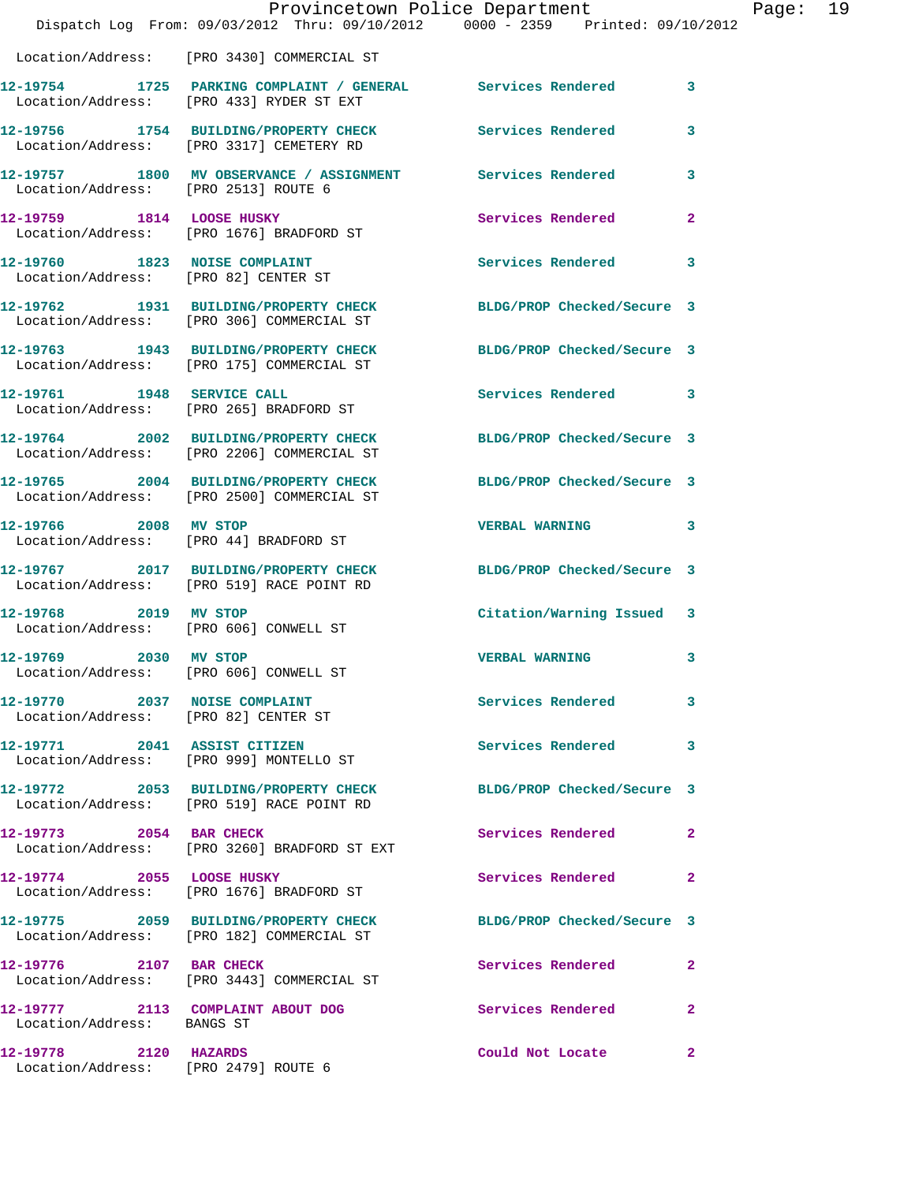|                                                                       |                                                                                                                | Provincetown Police Department | Page: 19     |  |
|-----------------------------------------------------------------------|----------------------------------------------------------------------------------------------------------------|--------------------------------|--------------|--|
|                                                                       | Dispatch Log From: 09/03/2012 Thru: 09/10/2012   0000 - 2359   Printed: 09/10/2012                             |                                |              |  |
|                                                                       | Location/Address: [PRO 3430] COMMERCIAL ST                                                                     |                                |              |  |
|                                                                       | 12-19754 1725 PARKING COMPLAINT / GENERAL Services Rendered 3<br>Location/Address: [PRO 433] RYDER ST EXT      |                                |              |  |
|                                                                       | 12-19756 1754 BUILDING/PROPERTY CHECK Services Rendered 3<br>Location/Address: [PRO 3317] CEMETERY RD          |                                |              |  |
| Location/Address: [PRO 2513] ROUTE 6                                  | 12-19757 1800 MV OBSERVANCE / ASSIGNMENT Services Rendered                                                     |                                | $\mathbf{3}$ |  |
|                                                                       | 12-19759 1814 LOOSE HUSKY<br>Location/Address: [PRO 1676] BRADFORD ST                                          | Services Rendered              | $\mathbf{2}$ |  |
| Location/Address: [PRO 82] CENTER ST                                  | 12-19760 1823 NOISE COMPLAINT                                                                                  | Services Rendered 3            |              |  |
|                                                                       | 12-19762 1931 BUILDING/PROPERTY CHECK BLDG/PROP Checked/Secure 3<br>Location/Address: [PRO 306] COMMERCIAL ST  |                                |              |  |
|                                                                       | 12-19763 1943 BUILDING/PROPERTY CHECK BLDG/PROP Checked/Secure 3<br>Location/Address: [PRO 175] COMMERCIAL ST  |                                |              |  |
|                                                                       | 12-19761 1948 SERVICE CALL<br>Location/Address: [PRO 265] BRADFORD ST                                          | Services Rendered 3            |              |  |
|                                                                       | 12-19764 2002 BUILDING/PROPERTY CHECK<br>Location/Address: [PRO 2206] COMMERCIAL ST                            | BLDG/PROP Checked/Secure 3     |              |  |
|                                                                       | 12-19765 2004 BUILDING/PROPERTY CHECK BLDG/PROP Checked/Secure 3<br>Location/Address: [PRO 2500] COMMERCIAL ST |                                |              |  |
|                                                                       | 12-19766 2008 MV STOP<br>Location/Address: [PRO 44] BRADFORD ST                                                | VERBAL WARNING 3               |              |  |
|                                                                       | 12-19767 2017 BUILDING/PROPERTY CHECK BLDG/PROP Checked/Secure 3<br>Location/Address: [PRO 519] RACE POINT RD  |                                |              |  |
| 12-19768 2019 MV STOP<br>Location/Address: [PRO 606] CONWELL ST       |                                                                                                                | Citation/Warning Issued 3      |              |  |
| 12-19769 2030 MV STOP<br>Location/Address: [PRO 606] CONWELL ST       |                                                                                                                | <b>VERBAL WARNING</b>          |              |  |
| 12-19770 2037 NOISE COMPLAINT<br>Location/Address: [PRO 82] CENTER ST |                                                                                                                | <b>Services Rendered</b>       | 3            |  |
|                                                                       | 12-19771 2041 ASSIST CITIZEN<br>Location/Address: [PRO 999] MONTELLO ST                                        | Services Rendered 3            |              |  |
|                                                                       | 12-19772 2053 BUILDING/PROPERTY CHECK BLDG/PROP Checked/Secure 3<br>Location/Address: [PRO 519] RACE POINT RD  |                                |              |  |
| 12-19773 2054 BAR CHECK                                               | Location/Address: [PRO 3260] BRADFORD ST EXT                                                                   | Services Rendered 2            |              |  |
|                                                                       | 12-19774 2055 LOOSE HUSKY<br>Location/Address: [PRO 1676] BRADFORD ST                                          | Services Rendered              | $\mathbf{2}$ |  |
|                                                                       | 12-19775 2059 BUILDING/PROPERTY CHECK BLDG/PROP Checked/Secure 3<br>Location/Address: [PRO 182] COMMERCIAL ST  |                                |              |  |
|                                                                       | 12-19776 2107 BAR CHECK<br>Location/Address: [PRO 3443] COMMERCIAL ST                                          | Services Rendered              | $\mathbf{2}$ |  |
| Location/Address: BANGS ST                                            | 12-19777 2113 COMPLAINT ABOUT DOG                                                                              | Services Rendered              | $\mathbf{2}$ |  |
| 12-19778 2120 HAZARDS<br>Location/Address: [PRO 2479] ROUTE 6         |                                                                                                                | Could Not Locate 2             |              |  |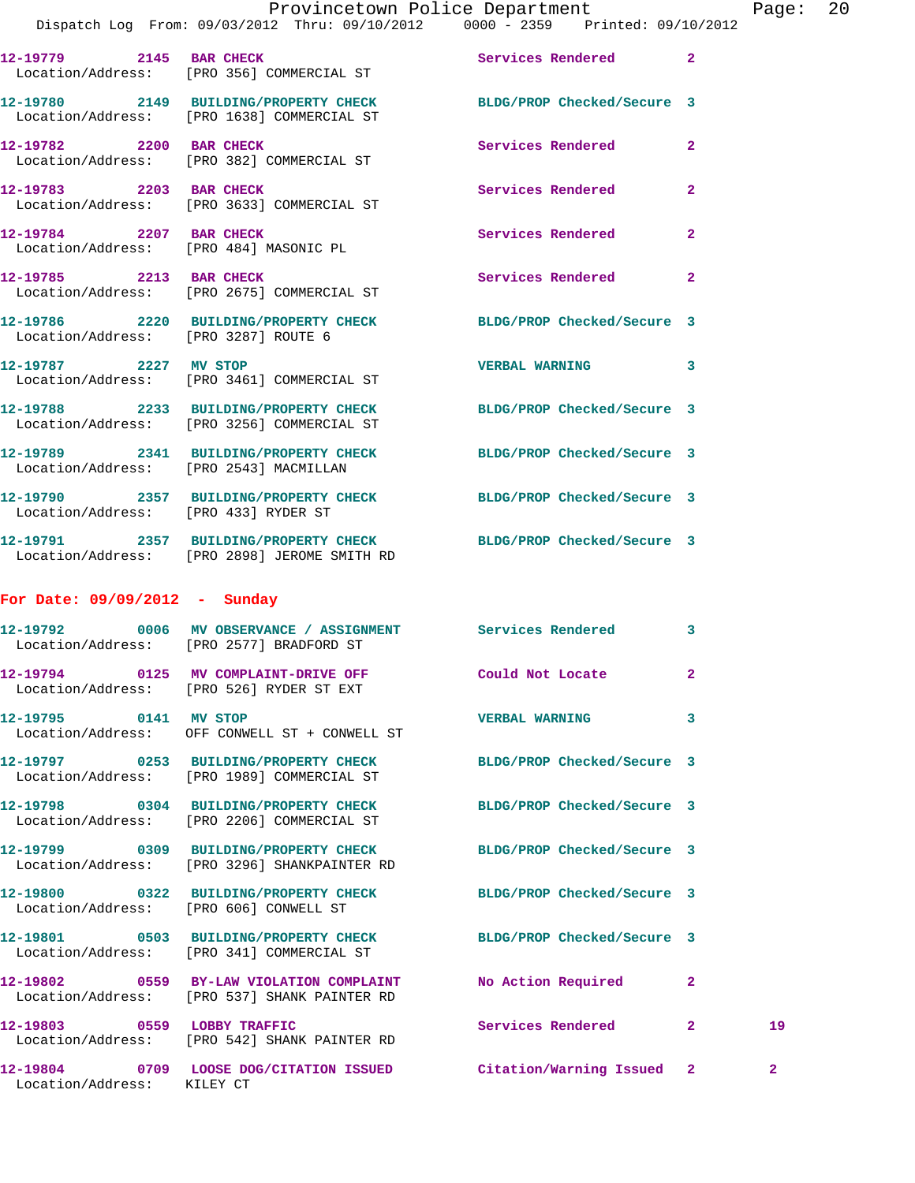|                                      | Dispatch Log From: 09/03/2012 Thru: 09/10/2012 0000 - 2359 Printed: 09/10/2012                                    |                          |                |              |
|--------------------------------------|-------------------------------------------------------------------------------------------------------------------|--------------------------|----------------|--------------|
|                                      | 12-19779 2145 BAR CHECK<br>Location/Address: [PRO 356] COMMERCIAL ST                                              | Services Rendered 2      |                |              |
|                                      | 12-19780 2149 BUILDING/PROPERTY CHECK BLDG/PROP Checked/Secure 3<br>Location/Address: [PRO 1638] COMMERCIAL ST    |                          |                |              |
|                                      | 12-19782 2200 BAR CHECK<br>Location/Address: [PRO 382] COMMERCIAL ST                                              | <b>Services Rendered</b> | $\mathbf{2}$   |              |
| 12-19783 2203 BAR CHECK              | Location/Address: [PRO 3633] COMMERCIAL ST                                                                        | Services Rendered        | $\overline{a}$ |              |
|                                      | 12-19784 2207 BAR CHECK<br>Location/Address: [PRO 484] MASONIC PL                                                 | Services Rendered        | $\overline{a}$ |              |
|                                      | 12-19785 2213 BAR CHECK<br>Location/Address: [PRO 2675] COMMERCIAL ST                                             | Services Rendered        | $\overline{2}$ |              |
|                                      | 12-19786 2220 BUILDING/PROPERTY CHECK BLDG/PROP Checked/Secure 3<br>Location/Address: [PRO 3287] ROUTE 6          |                          |                |              |
|                                      | 12-19787 2227 MV STOP<br>Location/Address: [PRO 3461] COMMERCIAL ST                                               | <b>VERBAL WARNING</b>    | 3              |              |
|                                      | 12-19788 2233 BUILDING/PROPERTY CHECK BLDG/PROP Checked/Secure 3<br>Location/Address: [PRO 3256] COMMERCIAL ST    |                          |                |              |
|                                      | 12-19789 2341 BUILDING/PROPERTY CHECK BLDG/PROP Checked/Secure 3<br>Location/Address: [PRO 2543] MACMILLAN        |                          |                |              |
| Location/Address: [PRO 433] RYDER ST | 12-19790 2357 BUILDING/PROPERTY CHECK BLDG/PROP Checked/Secure 3                                                  |                          |                |              |
|                                      | 12-19791  2357 BUILDING/PROPERTY CHECK BLDG/PROP Checked/Secure 3<br>Location/Address: [PRO 2898] JEROME SMITH RD |                          |                |              |
| For Date: $09/09/2012 -$ Sunday      |                                                                                                                   |                          |                |              |
|                                      | 12-19792 0006 MV OBSERVANCE / ASSIGNMENT Services Rendered 3<br>Location/Address: [PRO 2577] BRADFORD ST          |                          |                |              |
|                                      | 12-19794 0125 MV COMPLAINT-DRIVE OFF Could Not Locate<br>Location/Address: [PRO 526] RYDER ST EXT                 |                          | $\mathbf{2}$   |              |
| 12-19795 0141 MV STOP                | Location/Address: OFF CONWELL ST + CONWELL ST                                                                     | <b>VERBAL WARNING</b>    | 3              |              |
|                                      | 12-19797 0253 BUILDING/PROPERTY CHECK BLDG/PROP Checked/Secure 3<br>Location/Address: [PRO 1989] COMMERCIAL ST    |                          |                |              |
|                                      | 12-19798 0304 BUILDING/PROPERTY CHECK BLDG/PROP Checked/Secure 3<br>Location/Address: [PRO 2206] COMMERCIAL ST    |                          |                |              |
|                                      | 12-19799 0309 BUILDING/PROPERTY CHECK BLDG/PROP Checked/Secure 3<br>Location/Address: [PRO 3296] SHANKPAINTER RD  |                          |                |              |
|                                      | 12-19800 0322 BUILDING/PROPERTY CHECK BLDG/PROP Checked/Secure 3<br>Location/Address: [PRO 606] CONWELL ST        |                          |                |              |
|                                      | 12-19801 0503 BUILDING/PROPERTY CHECK BLDG/PROP Checked/Secure 3<br>Location/Address: [PRO 341] COMMERCIAL ST     |                          |                |              |
|                                      | 12-19802 0559 BY-LAW VIOLATION COMPLAINT No Action Required<br>Location/Address: [PRO 537] SHANK PAINTER RD       |                          | $\mathbf{2}$   |              |
| 12-19803 0559 LOBBY TRAFFIC          | Location/Address: [PRO 542] SHANK PAINTER RD                                                                      | Services Rendered 2      |                | 19           |
| Location/Address: KILEY CT           | 12-19804 0709 LOOSE DOG/CITATION ISSUED Citation/Warning Issued 2                                                 |                          |                | $\mathbf{2}$ |
|                                      |                                                                                                                   |                          |                |              |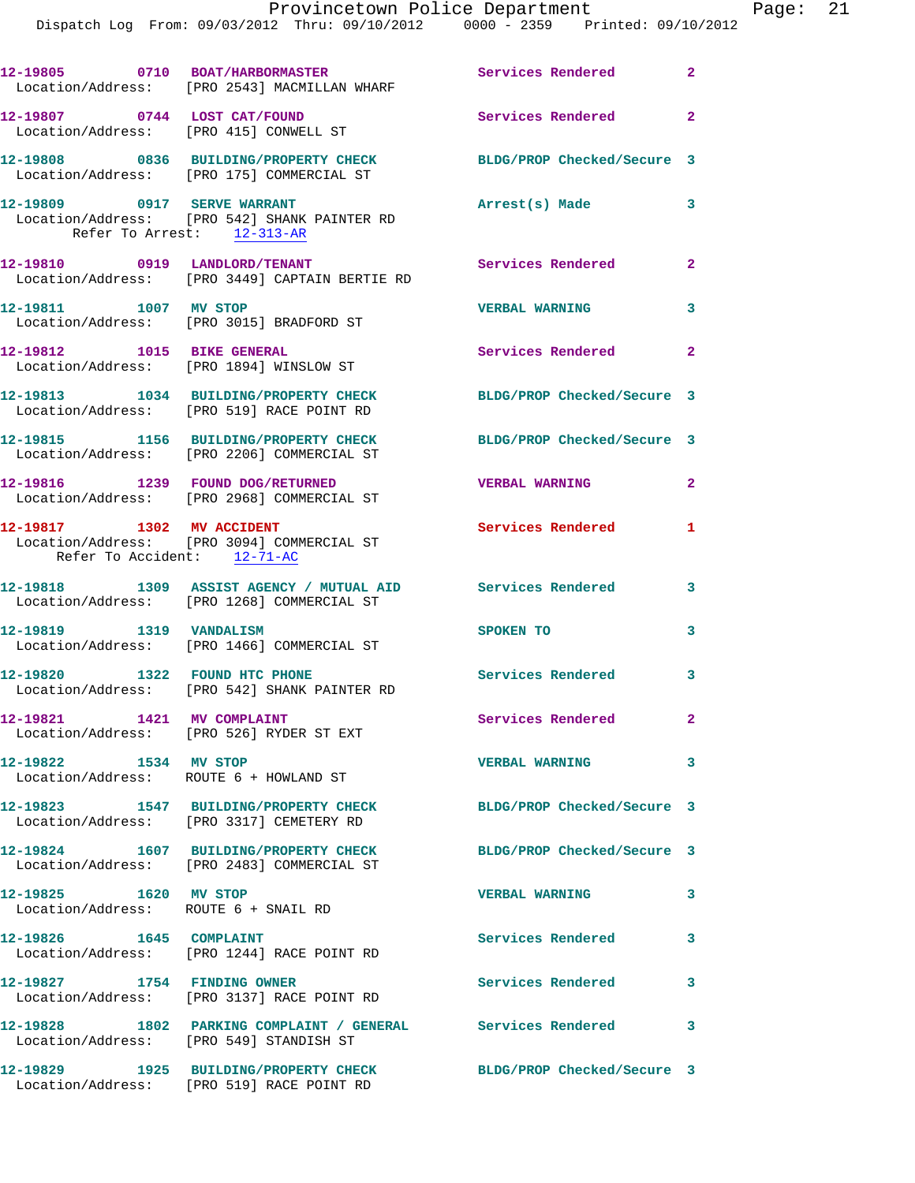Dispatch Log From: 09/03/2012 Thru: 09/10/2012 0000 - 2359 Printed: 09/10/2012

|                                                                        | 12-19805 0710 BOAT/HARBORMASTER<br>Location/Address: [PRO 2543] MACMILLAN WHARF                               | Services Rendered 2                 |                         |
|------------------------------------------------------------------------|---------------------------------------------------------------------------------------------------------------|-------------------------------------|-------------------------|
| 12-19807 0744 LOST CAT/FOUND<br>Location/Address: [PRO 415] CONWELL ST |                                                                                                               | Services Rendered 2                 |                         |
|                                                                        | 12-19808 0836 BUILDING/PROPERTY CHECK<br>Location/Address: [PRO 175] COMMERCIAL ST                            | BLDG/PROP Checked/Secure 3          |                         |
| 12-19809 0917 SERVE WARRANT                                            | Location/Address: [PRO 542] SHANK PAINTER RD<br>Refer To Arrest: $12-313-AR$                                  | Arrest(s) Made                      | 3                       |
|                                                                        | 12-19810 0919 LANDLORD/TENANT<br>Location/Address: [PRO 3449] CAPTAIN BERTIE RD                               | Services Rendered 2                 |                         |
| 12-19811 1007 MV STOP                                                  | Location/Address: [PRO 3015] BRADFORD ST                                                                      | <b>VERBAL WARNING</b>               | 3                       |
| Location/Address: [PRO 1894] WINSLOW ST                                | 12-19812 1015 BIKE GENERAL                                                                                    | Services Rendered                   | $\mathbf{2}$            |
|                                                                        | 12-19813 1034 BUILDING/PROPERTY CHECK<br>Location/Address: [PRO 519] RACE POINT RD                            | BLDG/PROP Checked/Secure 3          |                         |
|                                                                        | 12-19815 1156 BUILDING/PROPERTY CHECK<br>Location/Address: [PRO 2206] COMMERCIAL ST                           | BLDG/PROP Checked/Secure 3          |                         |
|                                                                        | 12-19816 1239 FOUND DOG/RETURNED<br>Location/Address: [PRO 2968] COMMERCIAL ST                                | <b>VERBAL WARNING</b>               | $\overline{2}$          |
| 12-19817 1302 MV ACCIDENT<br>Refer To Accident: 12-71-AC               | Location/Address: [PRO 3094] COMMERCIAL ST                                                                    | Services Rendered<br>$\blacksquare$ |                         |
|                                                                        | 12-19818 1309 ASSIST AGENCY / MUTUAL AID Services Rendered<br>Location/Address: [PRO 1268] COMMERCIAL ST      |                                     | 3                       |
| 12-19819   1319   VANDALISM                                            | Location/Address: [PRO 1466] COMMERCIAL ST                                                                    | SPOKEN TO                           | 3                       |
| 12-19820 1322 FOUND HTC PHONE                                          | Location/Address: [PRO 542] SHANK PAINTER RD                                                                  | Services Rendered 3                 |                         |
| 12-19821 1421 MV COMPLAINT                                             | Location/Address: [PRO 526] RYDER ST EXT                                                                      | Services Rendered                   | $\mathbf{2}$            |
| 12-19822 1534 MV STOP                                                  | Location/Address: ROUTE 6 + HOWLAND ST                                                                        | <b>VERBAL WARNING</b>               | $\overline{\mathbf{3}}$ |
|                                                                        | 12-19823 1547 BUILDING/PROPERTY CHECK<br>Location/Address: [PRO 3317] CEMETERY RD                             | BLDG/PROP Checked/Secure 3          |                         |
|                                                                        | 12-19824 1607 BUILDING/PROPERTY CHECK<br>Location/Address: [PRO 2483] COMMERCIAL ST                           | BLDG/PROP Checked/Secure 3          |                         |
| 12-19825 1620 MV STOP<br>Location/Address: ROUTE 6 + SNAIL RD          |                                                                                                               | <b>VERBAL WARNING</b>               | 3                       |
| 12-19826 1645 COMPLAINT                                                | Location/Address: [PRO 1244] RACE POINT RD                                                                    | Services Rendered                   | 3                       |
| 12-19827 1754 FINDING OWNER                                            | Location/Address: [PRO 3137] RACE POINT RD                                                                    | <b>Services Rendered</b>            | 3                       |
|                                                                        | 12-19828 1802 PARKING COMPLAINT / GENERAL Services Rendered<br>Location/Address: [PRO 549] STANDISH ST        |                                     | 3                       |
|                                                                        | 12-19829 1925 BUILDING/PROPERTY CHECK BLDG/PROP Checked/Secure 3<br>Location/Address: [PRO 519] RACE POINT RD |                                     |                         |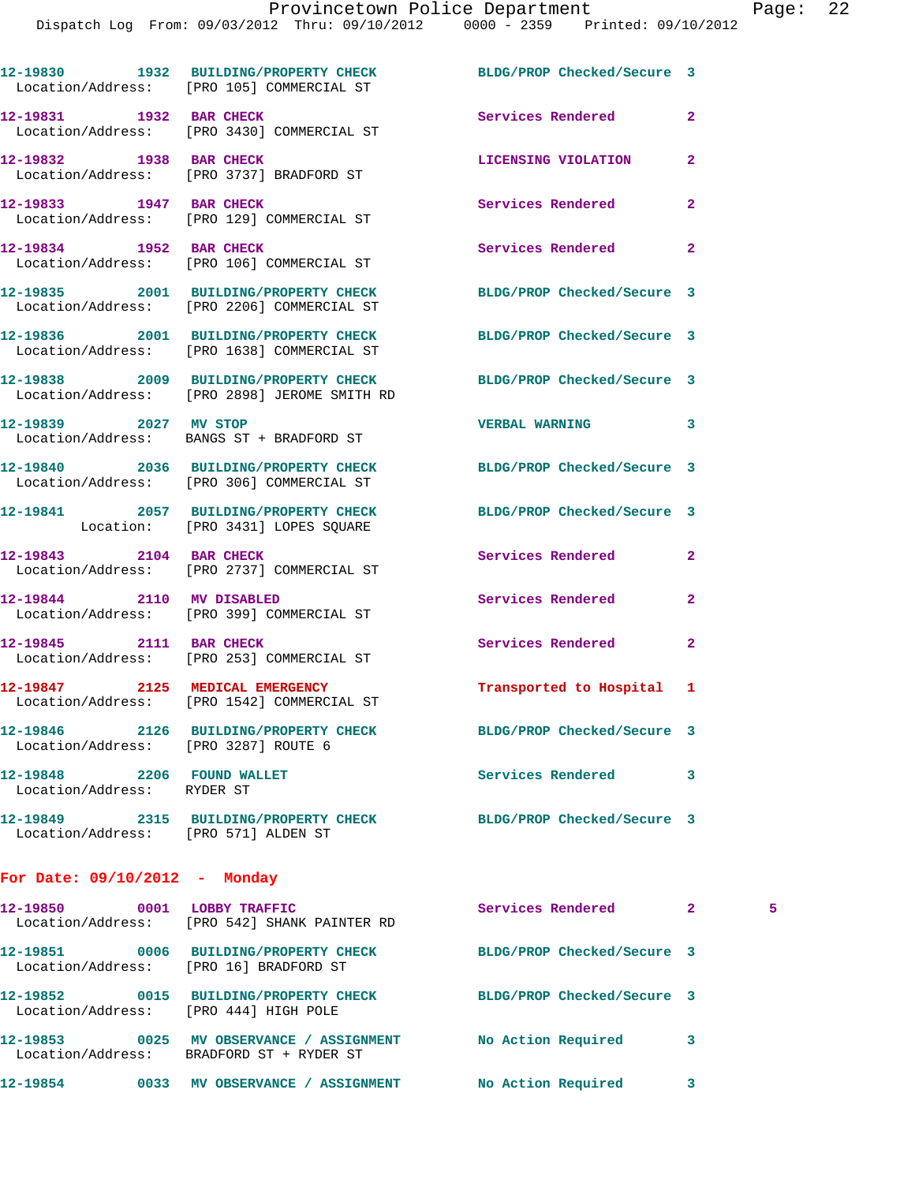|                                                          | 12-19830 1932 BUILDING/PROPERTY CHECK BLDG/PROP Checked/Secure 3<br>Location/Address: [PRO 105] COMMERCIAL ST |                            |                    |
|----------------------------------------------------------|---------------------------------------------------------------------------------------------------------------|----------------------------|--------------------|
| 12-19831 1932 BAR CHECK                                  | Location/Address: [PRO 3430] COMMERCIAL ST                                                                    | Services Rendered          | $\overline{2}$     |
|                                                          | 12-19832 1938 BAR CHECK<br>Location/Address: [PRO 3737] BRADFORD ST                                           | LICENSING VIOLATION        | $\overline{2}$     |
| 12-19833 1947 BAR CHECK                                  | Location/Address: [PRO 129] COMMERCIAL ST                                                                     | <b>Services Rendered</b>   | $\overline{a}$     |
| 12-19834 1952 BAR CHECK                                  | Location/Address: [PRO 106] COMMERCIAL ST                                                                     | Services Rendered          | $\overline{2}$     |
|                                                          | 12-19835 2001 BUILDING/PROPERTY CHECK<br>Location/Address: [PRO 2206] COMMERCIAL ST                           | BLDG/PROP Checked/Secure 3 |                    |
|                                                          | 12-19836 2001 BUILDING/PROPERTY CHECK<br>Location/Address: [PRO 1638] COMMERCIAL ST                           | BLDG/PROP Checked/Secure 3 |                    |
|                                                          | 12-19838 2009 BUILDING/PROPERTY CHECK<br>Location/Address: [PRO 2898] JEROME SMITH RD                         | BLDG/PROP Checked/Secure 3 |                    |
| 12-19839 2027 MV STOP                                    | Location/Address: BANGS ST + BRADFORD ST                                                                      | <b>VERBAL WARNING</b>      | 3                  |
|                                                          | 12-19840 2036 BUILDING/PROPERTY CHECK<br>Location/Address: [PRO 306] COMMERCIAL ST                            | BLDG/PROP Checked/Secure 3 |                    |
|                                                          | 12-19841 2057 BUILDING/PROPERTY CHECK<br>Location: [PRO 3431] LOPES SQUARE                                    | BLDG/PROP Checked/Secure 3 |                    |
|                                                          | 12-19843 2104 BAR CHECK<br>Location/Address: [PRO 2737] COMMERCIAL ST                                         | Services Rendered          | $\overline{2}$     |
|                                                          | 12-19844 2110 MV DISABLED<br>Location/Address: [PRO 399] COMMERCIAL ST                                        | Services Rendered          | $\mathbf{2}$       |
|                                                          | 12-19845 2111 BAR CHECK<br>Location/Address: [PRO 253] COMMERCIAL ST                                          | Services Rendered          | $\mathbf{2}$       |
|                                                          | 12-19847 2125 MEDICAL EMERGENCY<br>Location/Address: [PRO 1542] COMMERCIAL ST                                 | Transported to Hospital 1  |                    |
| Location/Address: [PRO 3287] ROUTE 6                     | 12-19846 2126 BUILDING/PROPERTY CHECK                                                                         | BLDG/PROP Checked/Secure 3 |                    |
| 12-19848 2206 FOUND WALLET<br>Location/Address: RYDER ST |                                                                                                               | Services Rendered          | 3                  |
| Location/Address: [PRO 571] ALDEN ST                     | 12-19849 2315 BUILDING/PROPERTY CHECK BLDG/PROP Checked/Secure 3                                              |                            |                    |
| For Date: $09/10/2012$ - Monday                          |                                                                                                               |                            |                    |
|                                                          |                                                                                                               |                            |                    |
|                                                          | 12-19850 0001 LOBBY TRAFFIC<br>Location/Address: [PRO 542] SHANK PAINTER RD                                   | Services Rendered          | $\mathbf{2}$<br>-5 |
| Location/Address: [PRO 16] BRADFORD ST                   | 12-19851 0006 BUILDING/PROPERTY CHECK BLDG/PROP Checked/Secure 3                                              |                            |                    |
| Location/Address: [PRO 444] HIGH POLE                    | 12-19852 0015 BUILDING/PROPERTY CHECK BLDG/PROP Checked/Secure 3                                              |                            |                    |
|                                                          | 12-19853 0025 MV OBSERVANCE / ASSIGNMENT No Action Required<br>Location/Address: BRADFORD ST + RYDER ST       |                            | 3                  |
|                                                          | 12-19854 0033 MV OBSERVANCE / ASSIGNMENT No Action Required                                                   |                            | 3                  |